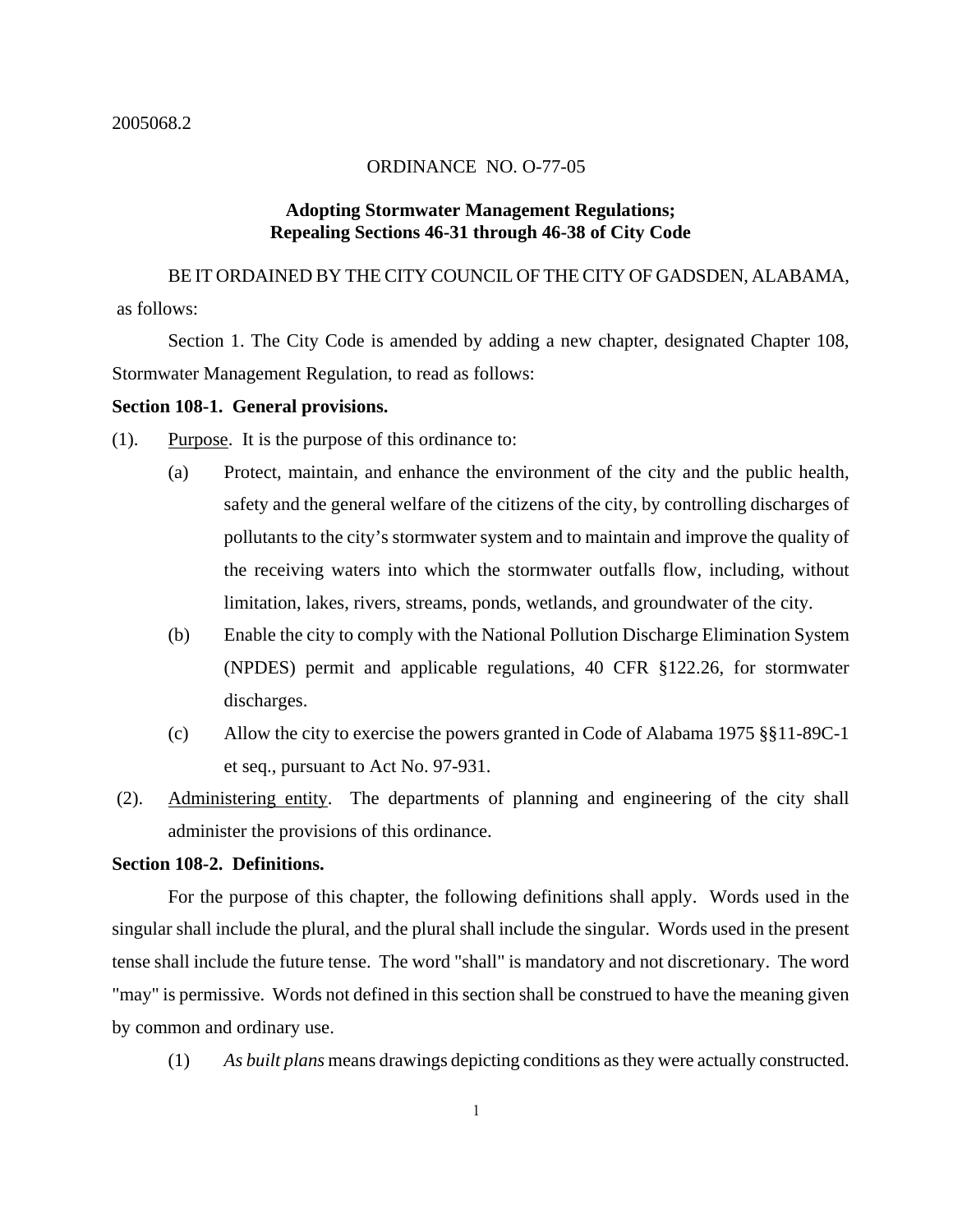### ORDINANCE NO. O-77-05

## **Adopting Stormwater Management Regulations; Repealing Sections 46-31 through 46-38 of City Code**

 BE IT ORDAINED BY THE CITY COUNCIL OF THE CITY OF GADSDEN, ALABAMA, as follows:

Section 1. The City Code is amended by adding a new chapter, designated Chapter 108, Stormwater Management Regulation, to read as follows:

#### **Section 108-1. General provisions.**

(1). Purpose. It is the purpose of this ordinance to:

- (a) Protect, maintain, and enhance the environment of the city and the public health, safety and the general welfare of the citizens of the city, by controlling discharges of pollutants to the city's stormwater system and to maintain and improve the quality of the receiving waters into which the stormwater outfalls flow, including, without limitation, lakes, rivers, streams, ponds, wetlands, and groundwater of the city.
- (b) Enable the city to comply with the National Pollution Discharge Elimination System (NPDES) permit and applicable regulations, 40 CFR §122.26, for stormwater discharges.
- (c) Allow the city to exercise the powers granted in Code of Alabama 1975 §§11-89C-1 et seq., pursuant to Act No. 97-931.
- (2). Administering entity. The departments of planning and engineering of the city shall administer the provisions of this ordinance.

### **Section 108-2. Definitions.**

For the purpose of this chapter, the following definitions shall apply. Words used in the singular shall include the plural, and the plural shall include the singular. Words used in the present tense shall include the future tense. The word "shall" is mandatory and not discretionary. The word "may" is permissive. Words not defined in this section shall be construed to have the meaning given by common and ordinary use.

(1) *As built plans* means drawings depicting conditions as they were actually constructed.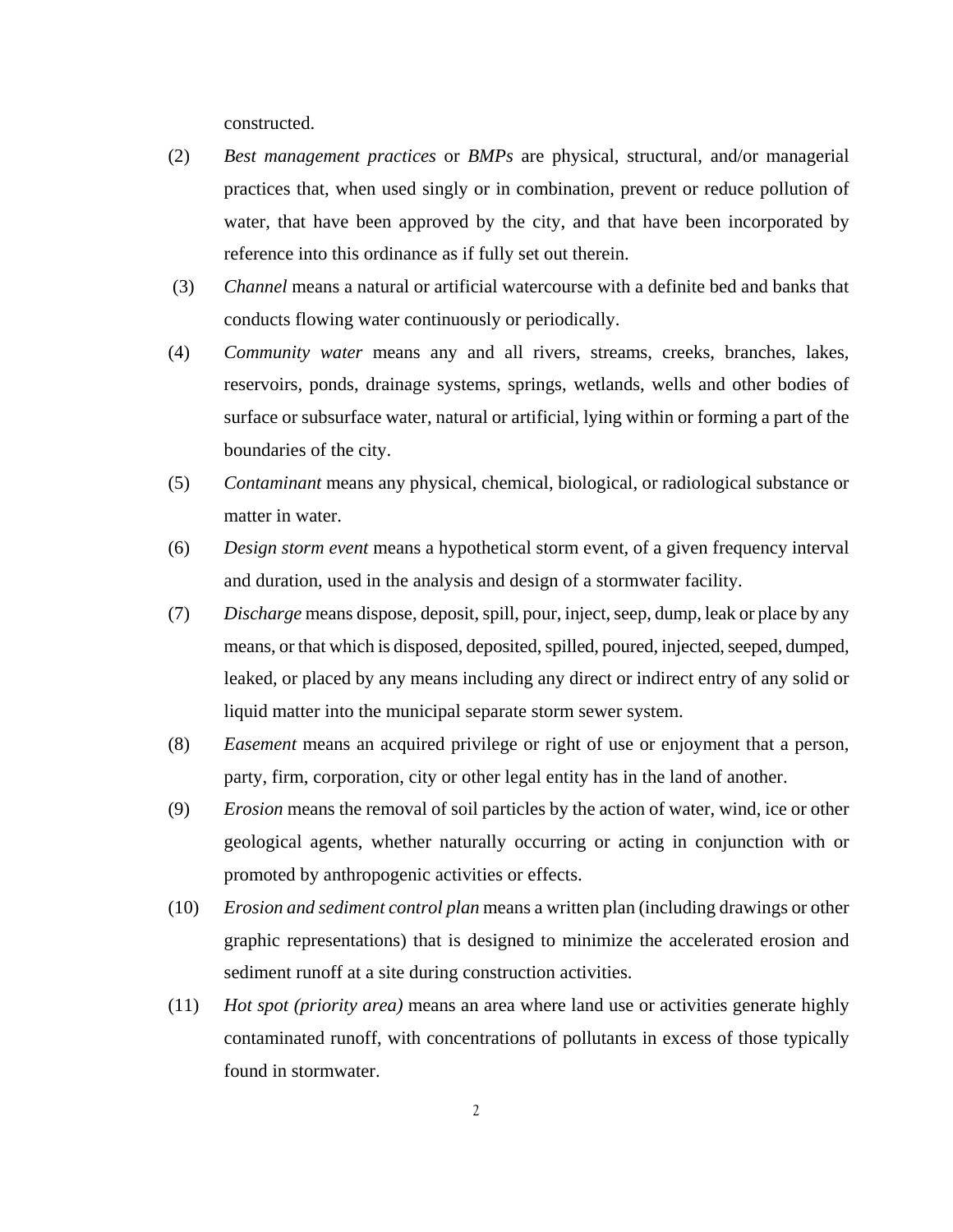constructed.

- (2) *Best management practices* or *BMPs* are physical, structural, and/or managerial practices that, when used singly or in combination, prevent or reduce pollution of water, that have been approved by the city, and that have been incorporated by reference into this ordinance as if fully set out therein.
- (3) *Channel* means a natural or artificial watercourse with a definite bed and banks that conducts flowing water continuously or periodically.
- (4) *Community water* means any and all rivers, streams, creeks, branches, lakes, reservoirs, ponds, drainage systems, springs, wetlands, wells and other bodies of surface or subsurface water, natural or artificial, lying within or forming a part of the boundaries of the city.
- (5) *Contaminant* means any physical, chemical, biological, or radiological substance or matter in water.
- (6) *Design storm event* means a hypothetical storm event, of a given frequency interval and duration, used in the analysis and design of a stormwater facility.
- (7) *Discharge* means dispose, deposit, spill, pour, inject, seep, dump, leak or place by any means, or that which is disposed, deposited, spilled, poured, injected, seeped, dumped, leaked, or placed by any means including any direct or indirect entry of any solid or liquid matter into the municipal separate storm sewer system.
- (8) *Easement* means an acquired privilege or right of use or enjoyment that a person, party, firm, corporation, city or other legal entity has in the land of another.
- (9) *Erosion* means the removal of soil particles by the action of water, wind, ice or other geological agents, whether naturally occurring or acting in conjunction with or promoted by anthropogenic activities or effects.
- (10) *Erosion and sediment control plan* means a written plan (including drawings or other graphic representations) that is designed to minimize the accelerated erosion and sediment runoff at a site during construction activities.
- (11) *Hot spot (priority area)* means an area where land use or activities generate highly contaminated runoff, with concentrations of pollutants in excess of those typically found in stormwater.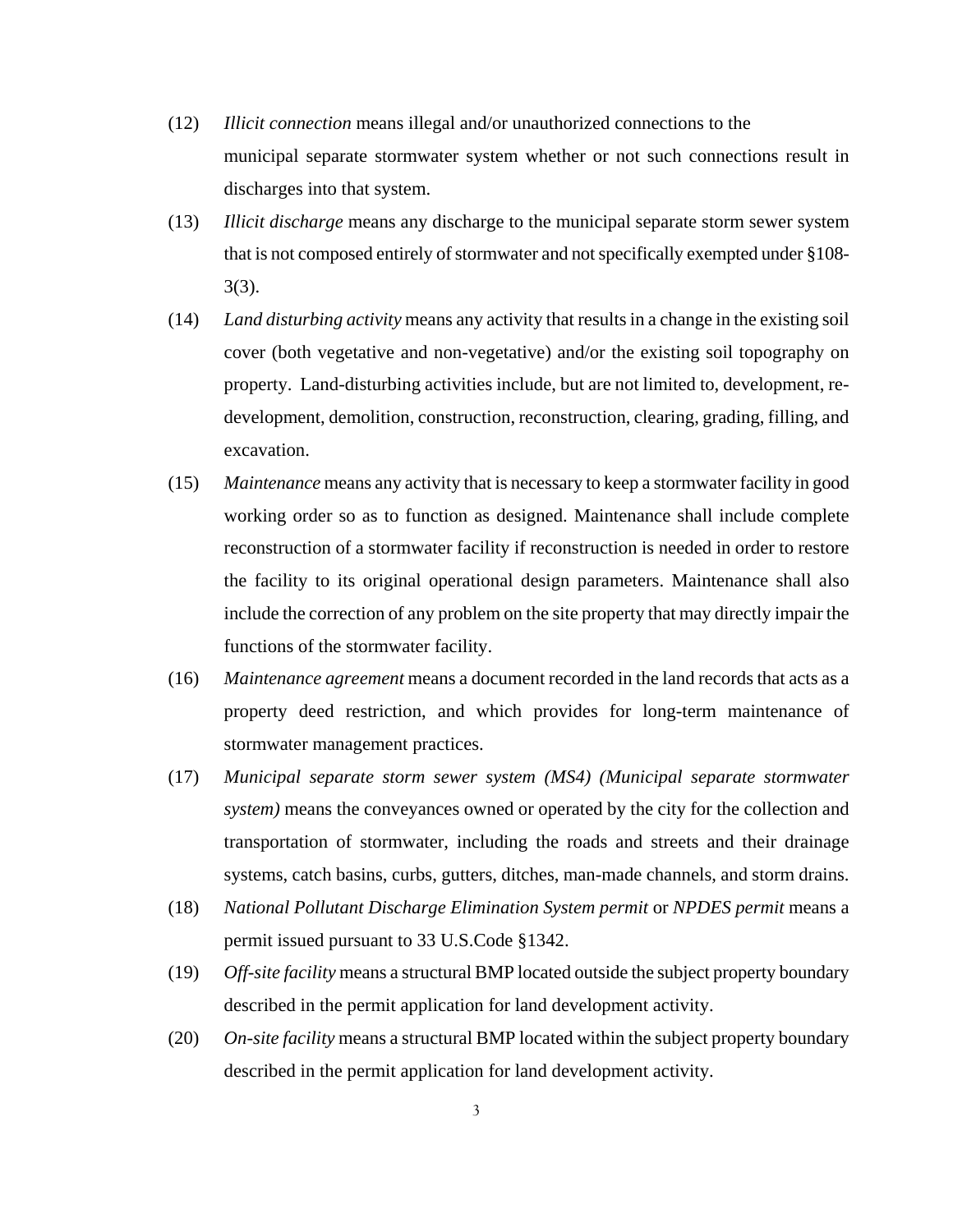- (12) *Illicit connection* means illegal and/or unauthorized connections to the municipal separate stormwater system whether or not such connections result in discharges into that system.
- (13) *Illicit discharge* means any discharge to the municipal separate storm sewer system that is not composed entirely of stormwater and not specifically exempted under §108- 3(3).
- (14) *Land disturbing activity* means any activity that results in a change in the existing soil cover (both vegetative and non-vegetative) and/or the existing soil topography on property. Land-disturbing activities include, but are not limited to, development, redevelopment, demolition, construction, reconstruction, clearing, grading, filling, and excavation.
- (15) *Maintenance* means any activity that is necessary to keep a stormwater facility in good working order so as to function as designed. Maintenance shall include complete reconstruction of a stormwater facility if reconstruction is needed in order to restore the facility to its original operational design parameters. Maintenance shall also include the correction of any problem on the site property that may directly impair the functions of the stormwater facility.
- (16) *Maintenance agreement* means a document recorded in the land records that acts as a property deed restriction, and which provides for long-term maintenance of stormwater management practices.
- (17) *Municipal separate storm sewer system (MS4) (Municipal separate stormwater system)* means the conveyances owned or operated by the city for the collection and transportation of stormwater, including the roads and streets and their drainage systems, catch basins, curbs, gutters, ditches, man-made channels, and storm drains.
- (18) *National Pollutant Discharge Elimination System permit* or *NPDES permit* means a permit issued pursuant to 33 U.S.Code §1342.
- (19) *Off-site facility* means a structural BMP located outside the subject property boundary described in the permit application for land development activity.
- (20) *On-site facility* means a structural BMP located within the subject property boundary described in the permit application for land development activity.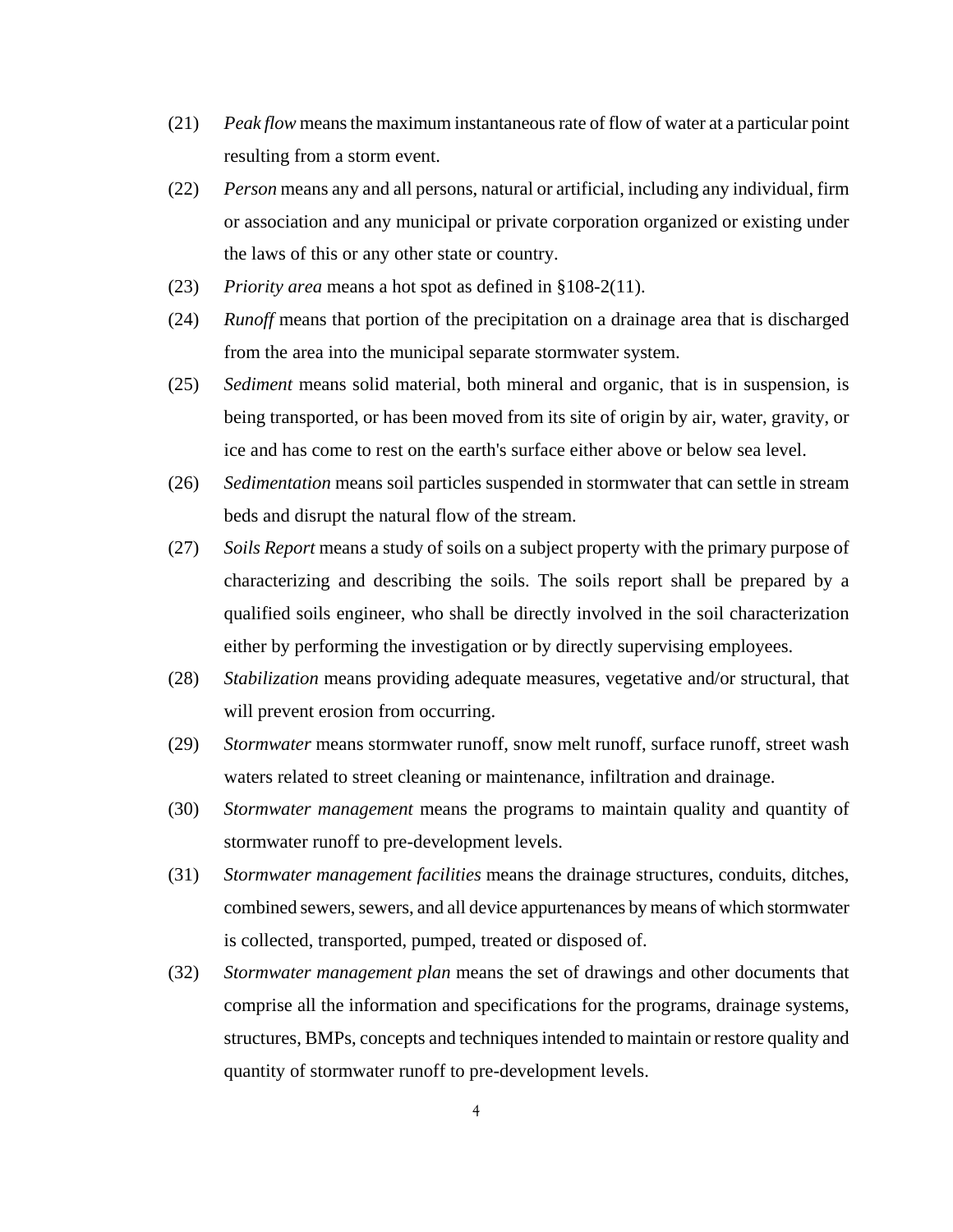- (21) *Peak flow* means the maximum instantaneous rate of flow of water at a particular point resulting from a storm event.
- (22) *Person* means any and all persons, natural or artificial, including any individual, firm or association and any municipal or private corporation organized or existing under the laws of this or any other state or country.
- (23) *Priority area* means a hot spot as defined in §108-2(11).
- (24) *Runoff* means that portion of the precipitation on a drainage area that is discharged from the area into the municipal separate stormwater system.
- (25) *Sediment* means solid material, both mineral and organic, that is in suspension, is being transported, or has been moved from its site of origin by air, water, gravity, or ice and has come to rest on the earth's surface either above or below sea level.
- (26) *Sedimentation* means soil particles suspended in stormwater that can settle in stream beds and disrupt the natural flow of the stream.
- (27) *Soils Report* means a study of soils on a subject property with the primary purpose of characterizing and describing the soils. The soils report shall be prepared by a qualified soils engineer, who shall be directly involved in the soil characterization either by performing the investigation or by directly supervising employees.
- (28) *Stabilization* means providing adequate measures, vegetative and/or structural, that will prevent erosion from occurring.
- (29) *Stormwater* means stormwater runoff, snow melt runoff, surface runoff, street wash waters related to street cleaning or maintenance, infiltration and drainage.
- (30) *Stormwater management* means the programs to maintain quality and quantity of stormwater runoff to pre-development levels.
- (31) *Stormwater management facilities* means the drainage structures, conduits, ditches, combined sewers, sewers, and all device appurtenances by means of which stormwater is collected, transported, pumped, treated or disposed of.
- (32) *Stormwater management plan* means the set of drawings and other documents that comprise all the information and specifications for the programs, drainage systems, structures, BMPs, concepts and techniques intended to maintain or restore quality and quantity of stormwater runoff to pre-development levels.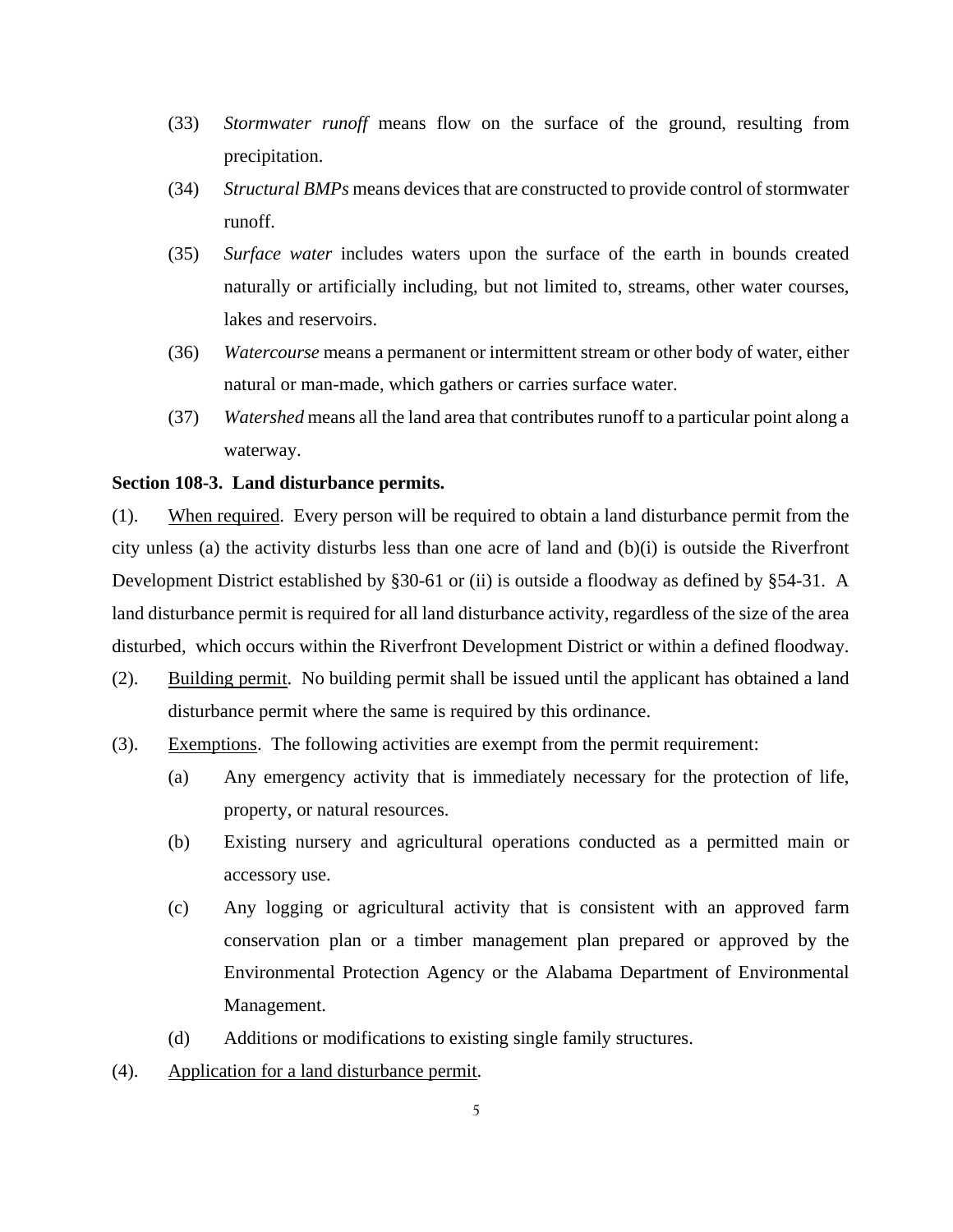- (33) *Stormwater runoff* means flow on the surface of the ground, resulting from precipitation.
- (34) *Structural BMPs* means devices that are constructed to provide control of stormwater runoff.
- (35) *Surface water* includes waters upon the surface of the earth in bounds created naturally or artificially including, but not limited to, streams, other water courses, lakes and reservoirs.
- (36) *Watercourse* means a permanent or intermittent stream or other body of water, either natural or man-made, which gathers or carries surface water.
- (37) *Watershed* means all the land area that contributes runoff to a particular point along a waterway.

### **Section 108-3. Land disturbance permits.**

(1). When required. Every person will be required to obtain a land disturbance permit from the city unless (a) the activity disturbs less than one acre of land and  $(b)(i)$  is outside the Riverfront Development District established by §30-61 or (ii) is outside a floodway as defined by §54-31. A land disturbance permit is required for all land disturbance activity, regardless of the size of the area disturbed, which occurs within the Riverfront Development District or within a defined floodway.

- (2). Building permit. No building permit shall be issued until the applicant has obtained a land disturbance permit where the same is required by this ordinance.
- (3). Exemptions. The following activities are exempt from the permit requirement:
	- (a) Any emergency activity that is immediately necessary for the protection of life, property, or natural resources.
	- (b) Existing nursery and agricultural operations conducted as a permitted main or accessory use.
	- (c) Any logging or agricultural activity that is consistent with an approved farm conservation plan or a timber management plan prepared or approved by the Environmental Protection Agency or the Alabama Department of Environmental Management.
	- (d) Additions or modifications to existing single family structures.
- (4). Application for a land disturbance permit.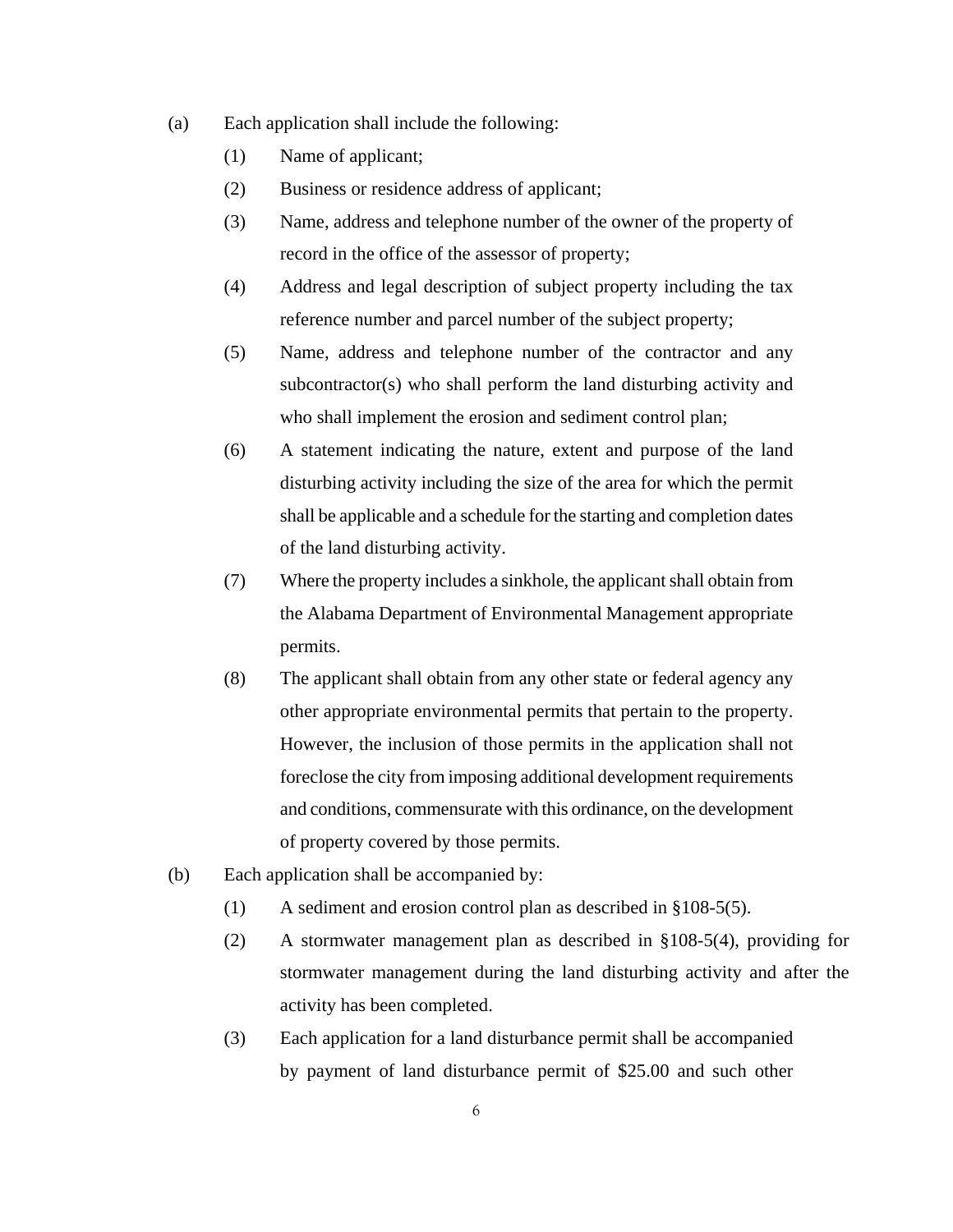- (a) Each application shall include the following:
	- (1) Name of applicant;
	- (2) Business or residence address of applicant;
	- (3) Name, address and telephone number of the owner of the property of record in the office of the assessor of property;
	- (4) Address and legal description of subject property including the tax reference number and parcel number of the subject property;
	- (5) Name, address and telephone number of the contractor and any subcontractor(s) who shall perform the land disturbing activity and who shall implement the erosion and sediment control plan;
	- (6) A statement indicating the nature, extent and purpose of the land disturbing activity including the size of the area for which the permit shall be applicable and a schedule for the starting and completion dates of the land disturbing activity.
	- (7) Where the property includes a sinkhole, the applicant shall obtain from the Alabama Department of Environmental Management appropriate permits.
	- (8) The applicant shall obtain from any other state or federal agency any other appropriate environmental permits that pertain to the property. However, the inclusion of those permits in the application shall not foreclose the city from imposing additional development requirements and conditions, commensurate with this ordinance, on the development of property covered by those permits.
- (b) Each application shall be accompanied by:
	- (1) A sediment and erosion control plan as described in §108-5(5).
	- (2) A stormwater management plan as described in §108-5(4), providing for stormwater management during the land disturbing activity and after the activity has been completed.
	- (3) Each application for a land disturbance permit shall be accompanied by payment of land disturbance permit of \$25.00 and such other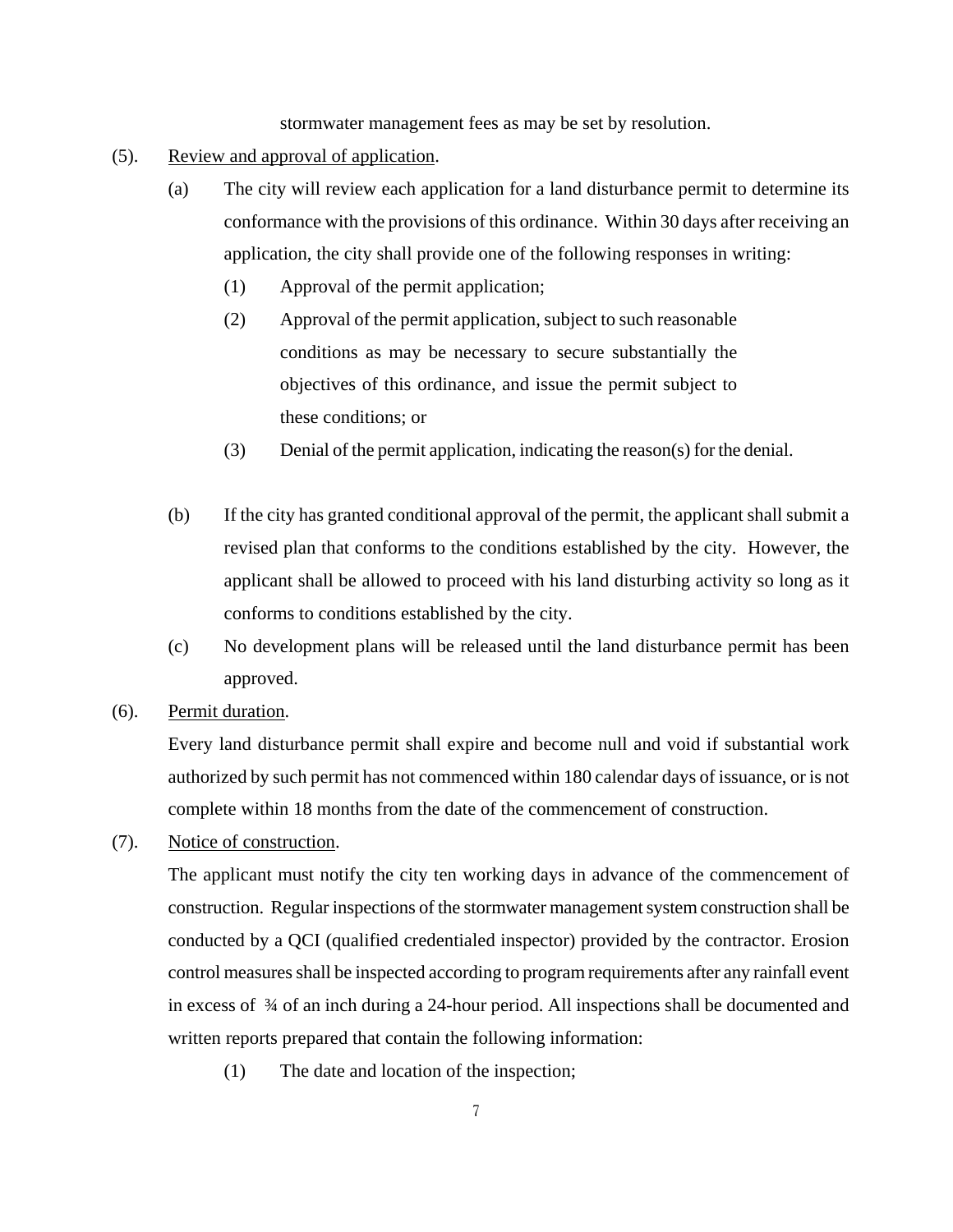stormwater management fees as may be set by resolution.

- (5). Review and approval of application.
	- (a) The city will review each application for a land disturbance permit to determine its conformance with the provisions of this ordinance. Within 30 days after receiving an application, the city shall provide one of the following responses in writing:
		- (1) Approval of the permit application;
		- (2) Approval of the permit application, subject to such reasonable conditions as may be necessary to secure substantially the objectives of this ordinance, and issue the permit subject to these conditions; or
		- (3) Denial of the permit application, indicating the reason(s) for the denial.
	- (b) If the city has granted conditional approval of the permit, the applicant shall submit a revised plan that conforms to the conditions established by the city. However, the applicant shall be allowed to proceed with his land disturbing activity so long as it conforms to conditions established by the city.
	- (c) No development plans will be released until the land disturbance permit has been approved.
- (6). Permit duration.

Every land disturbance permit shall expire and become null and void if substantial work authorized by such permit has not commenced within 180 calendar days of issuance, or is not complete within 18 months from the date of the commencement of construction.

(7). Notice of construction.

The applicant must notify the city ten working days in advance of the commencement of construction. Regular inspections of the stormwater management system construction shall be conducted by a QCI (qualified credentialed inspector) provided by the contractor. Erosion control measures shall be inspected according to program requirements after any rainfall event in excess of ¾ of an inch during a 24-hour period. All inspections shall be documented and written reports prepared that contain the following information:

(1) The date and location of the inspection;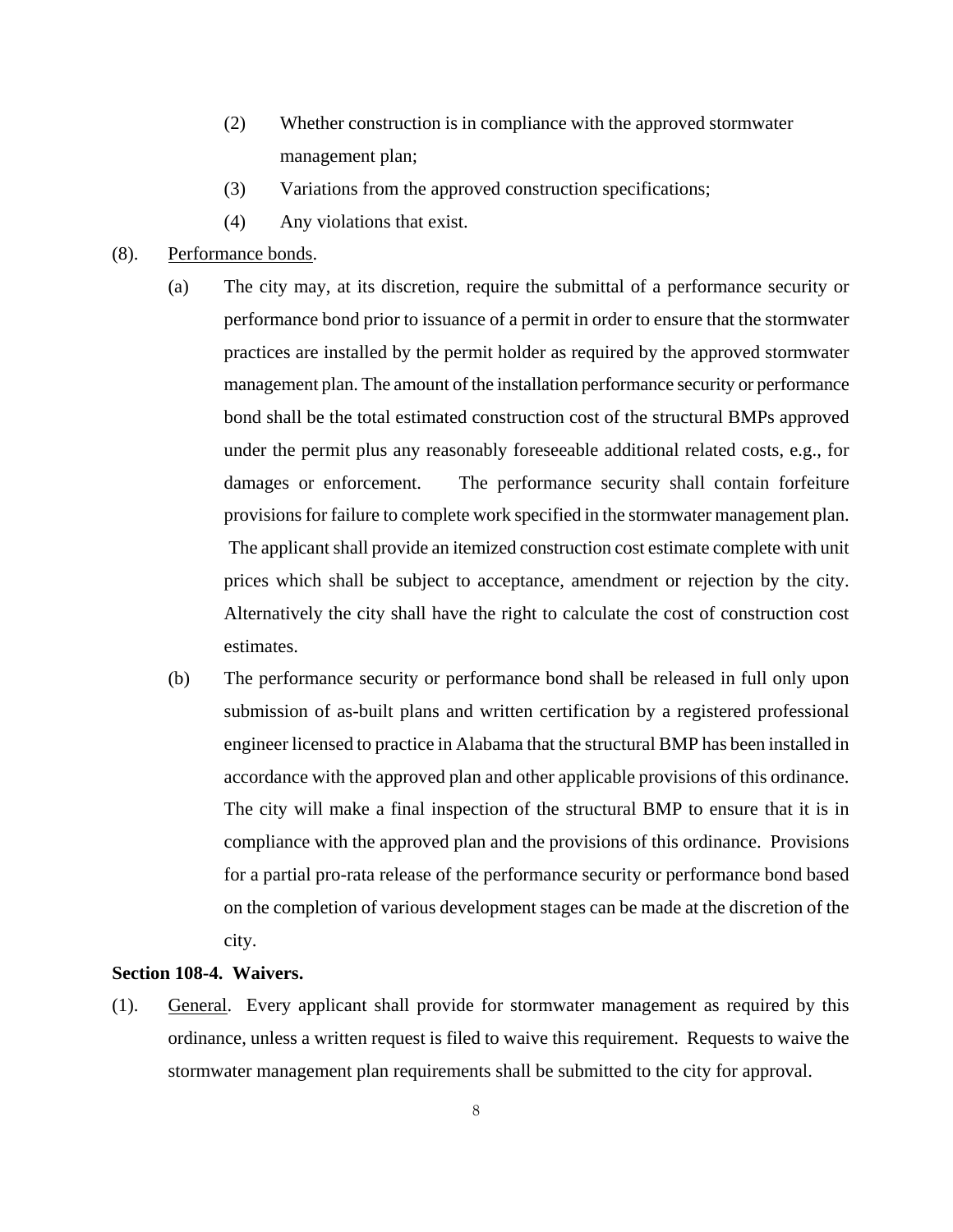- (2) Whether construction is in compliance with the approved stormwater management plan;
- (3) Variations from the approved construction specifications;
- (4) Any violations that exist.

### (8). Performance bonds.

- (a) The city may, at its discretion, require the submittal of a performance security or performance bond prior to issuance of a permit in order to ensure that the stormwater practices are installed by the permit holder as required by the approved stormwater management plan. The amount of the installation performance security or performance bond shall be the total estimated construction cost of the structural BMPs approved under the permit plus any reasonably foreseeable additional related costs, e.g., for damages or enforcement. The performance security shall contain forfeiture provisions for failure to complete work specified in the stormwater management plan. The applicant shall provide an itemized construction cost estimate complete with unit prices which shall be subject to acceptance, amendment or rejection by the city. Alternatively the city shall have the right to calculate the cost of construction cost estimates.
- (b) The performance security or performance bond shall be released in full only upon submission of as-built plans and written certification by a registered professional engineer licensed to practice in Alabama that the structural BMP has been installed in accordance with the approved plan and other applicable provisions of this ordinance. The city will make a final inspection of the structural BMP to ensure that it is in compliance with the approved plan and the provisions of this ordinance. Provisions for a partial pro-rata release of the performance security or performance bond based on the completion of various development stages can be made at the discretion of the city.

#### **Section 108-4. Waivers.**

(1). General. Every applicant shall provide for stormwater management as required by this ordinance, unless a written request is filed to waive this requirement. Requests to waive the stormwater management plan requirements shall be submitted to the city for approval.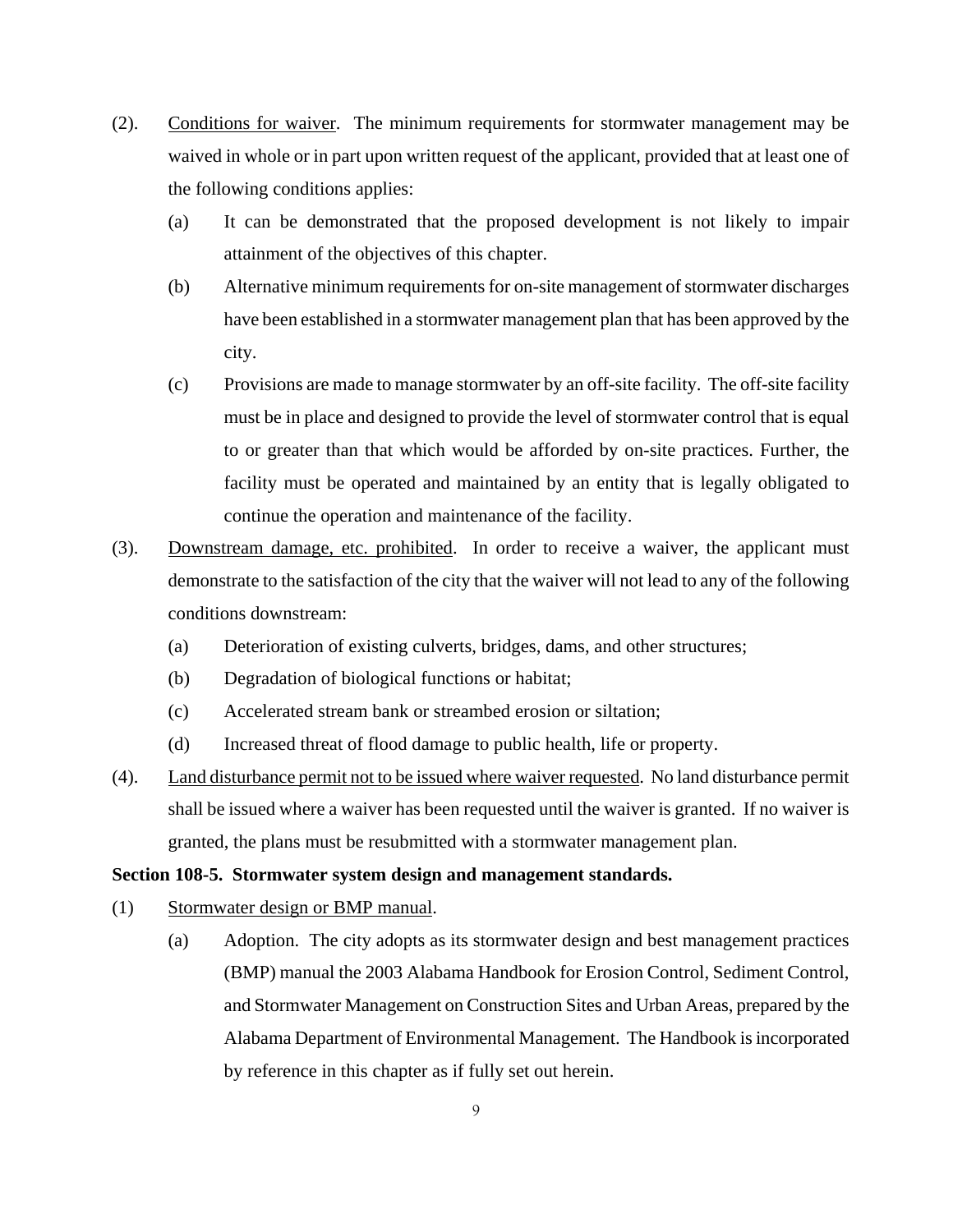- (2). Conditions for waiver. The minimum requirements for stormwater management may be waived in whole or in part upon written request of the applicant, provided that at least one of the following conditions applies:
	- (a) It can be demonstrated that the proposed development is not likely to impair attainment of the objectives of this chapter.
	- (b) Alternative minimum requirements for on-site management of stormwater discharges have been established in a stormwater management plan that has been approved by the city.
	- (c) Provisions are made to manage stormwater by an off-site facility. The off-site facility must be in place and designed to provide the level of stormwater control that is equal to or greater than that which would be afforded by on-site practices. Further, the facility must be operated and maintained by an entity that is legally obligated to continue the operation and maintenance of the facility.
- (3). Downstream damage, etc. prohibited. In order to receive a waiver, the applicant must demonstrate to the satisfaction of the city that the waiver will not lead to any of the following conditions downstream:
	- (a) Deterioration of existing culverts, bridges, dams, and other structures;
	- (b) Degradation of biological functions or habitat;
	- (c) Accelerated stream bank or streambed erosion or siltation;
	- (d) Increased threat of flood damage to public health, life or property.
- (4). Land disturbance permit not to be issued where waiver requested. No land disturbance permit shall be issued where a waiver has been requested until the waiver is granted. If no waiver is granted, the plans must be resubmitted with a stormwater management plan.

## **Section 108-5. Stormwater system design and management standards.**

- (1) Stormwater design or BMP manual.
	- (a) Adoption. The city adopts as its stormwater design and best management practices (BMP) manual the 2003 Alabama Handbook for Erosion Control, Sediment Control, and Stormwater Management on Construction Sites and Urban Areas, prepared by the Alabama Department of Environmental Management. The Handbook is incorporated by reference in this chapter as if fully set out herein.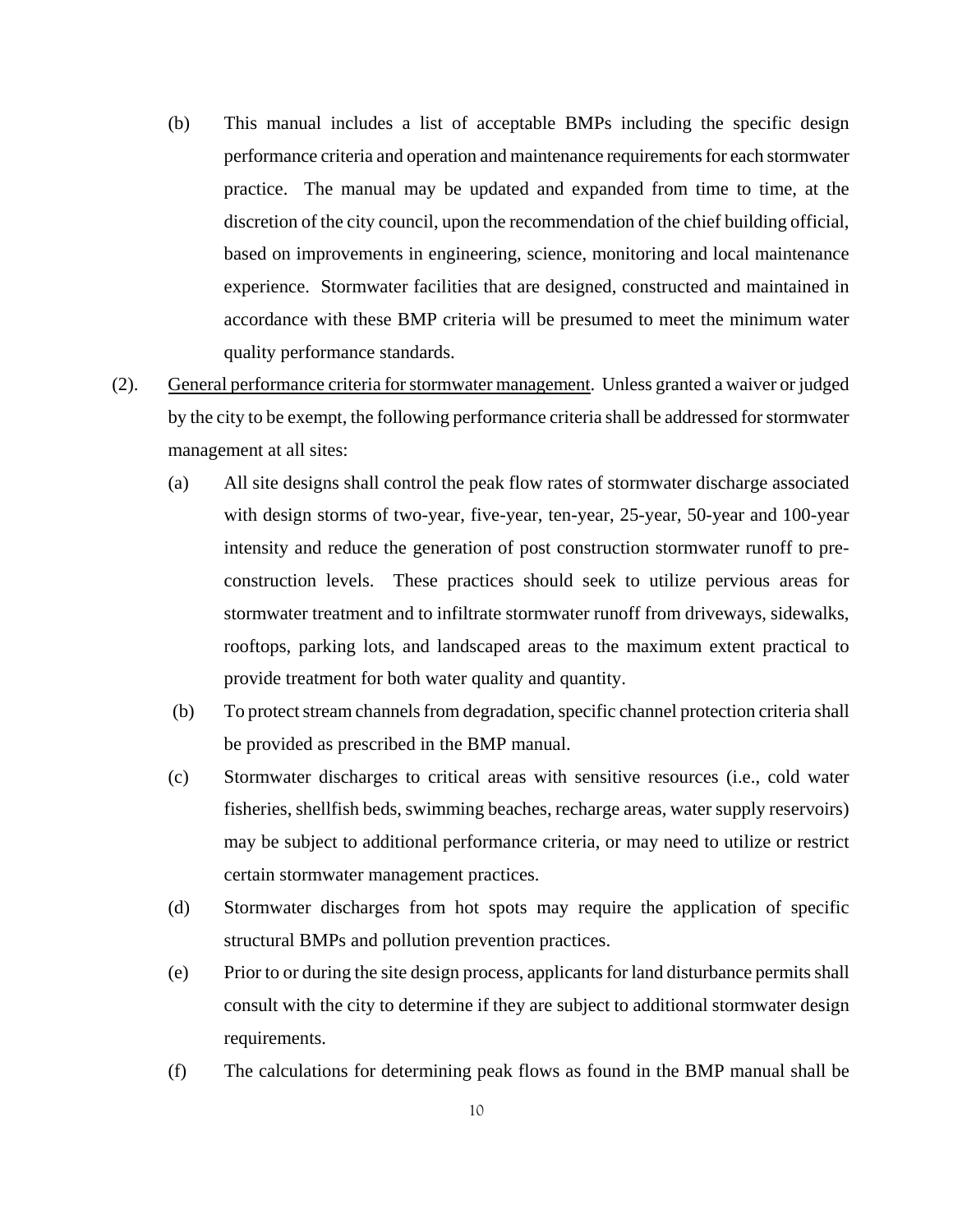- (b) This manual includes a list of acceptable BMPs including the specific design performance criteria and operation and maintenance requirements for each stormwater practice. The manual may be updated and expanded from time to time, at the discretion of the city council, upon the recommendation of the chief building official, based on improvements in engineering, science, monitoring and local maintenance experience. Stormwater facilities that are designed, constructed and maintained in accordance with these BMP criteria will be presumed to meet the minimum water quality performance standards.
- (2). General performance criteria for stormwater management. Unless granted a waiver or judged by the city to be exempt, the following performance criteria shall be addressed for stormwater management at all sites:
	- (a) All site designs shall control the peak flow rates of stormwater discharge associated with design storms of two-year, five-year, ten-year, 25-year, 50-year and 100-year intensity and reduce the generation of post construction stormwater runoff to preconstruction levels. These practices should seek to utilize pervious areas for stormwater treatment and to infiltrate stormwater runoff from driveways, sidewalks, rooftops, parking lots, and landscaped areas to the maximum extent practical to provide treatment for both water quality and quantity.
	- (b) To protect stream channels from degradation, specific channel protection criteria shall be provided as prescribed in the BMP manual.
	- (c) Stormwater discharges to critical areas with sensitive resources (i.e., cold water fisheries, shellfish beds, swimming beaches, recharge areas, water supply reservoirs) may be subject to additional performance criteria, or may need to utilize or restrict certain stormwater management practices.
	- (d) Stormwater discharges from hot spots may require the application of specific structural BMPs and pollution prevention practices.
	- (e) Prior to or during the site design process, applicants for land disturbance permits shall consult with the city to determine if they are subject to additional stormwater design requirements.
	- (f) The calculations for determining peak flows as found in the BMP manual shall be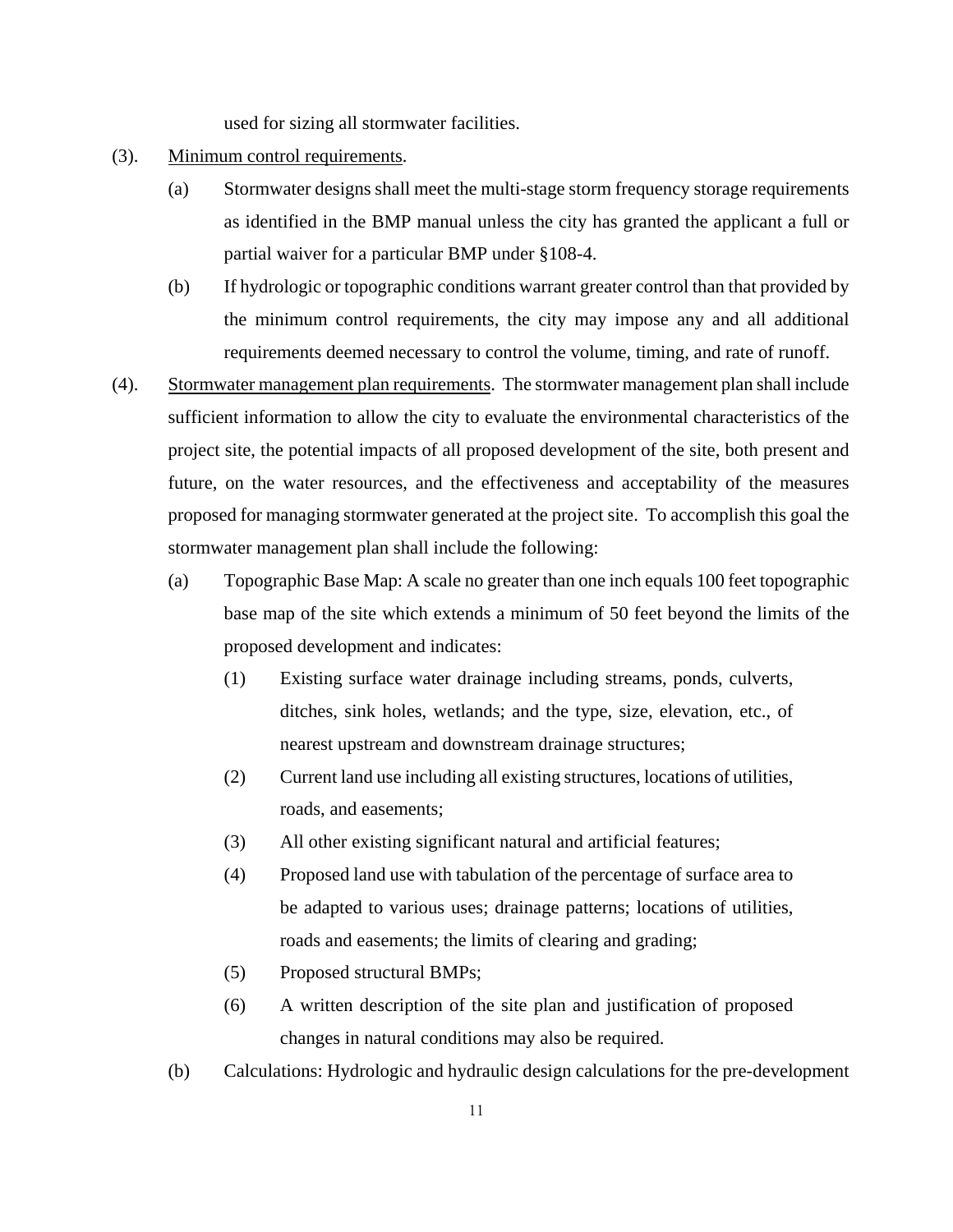used for sizing all stormwater facilities.

- (3). Minimum control requirements.
	- (a) Stormwater designs shall meet the multi-stage storm frequency storage requirements as identified in the BMP manual unless the city has granted the applicant a full or partial waiver for a particular BMP under §108-4.
	- (b) If hydrologic or topographic conditions warrant greater control than that provided by the minimum control requirements, the city may impose any and all additional requirements deemed necessary to control the volume, timing, and rate of runoff.
- (4). Stormwater management plan requirements. The stormwater management plan shall include sufficient information to allow the city to evaluate the environmental characteristics of the project site, the potential impacts of all proposed development of the site, both present and future, on the water resources, and the effectiveness and acceptability of the measures proposed for managing stormwater generated at the project site. To accomplish this goal the stormwater management plan shall include the following:
	- (a) Topographic Base Map: A scale no greater than one inch equals 100 feet topographic base map of the site which extends a minimum of 50 feet beyond the limits of the proposed development and indicates:
		- (1) Existing surface water drainage including streams, ponds, culverts, ditches, sink holes, wetlands; and the type, size, elevation, etc., of nearest upstream and downstream drainage structures;
		- (2) Current land use including all existing structures, locations of utilities, roads, and easements;
		- (3) All other existing significant natural and artificial features;
		- (4) Proposed land use with tabulation of the percentage of surface area to be adapted to various uses; drainage patterns; locations of utilities, roads and easements; the limits of clearing and grading;
		- (5) Proposed structural BMPs;
		- (6) A written description of the site plan and justification of proposed changes in natural conditions may also be required.
	- (b) Calculations: Hydrologic and hydraulic design calculations for the pre-development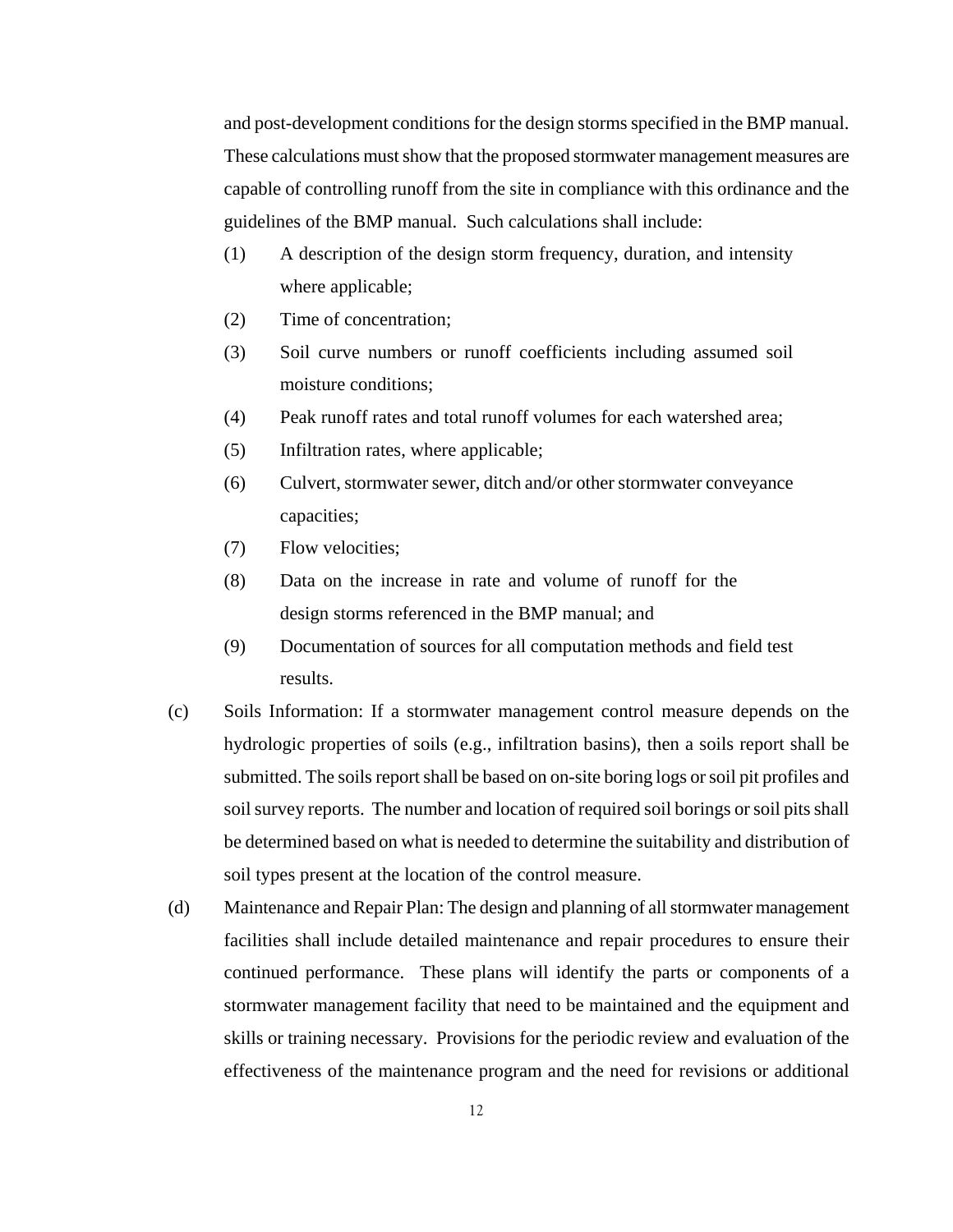and post-development conditions for the design storms specified in the BMP manual. These calculations must show that the proposed stormwater management measures are capable of controlling runoff from the site in compliance with this ordinance and the guidelines of the BMP manual. Such calculations shall include:

- (1) A description of the design storm frequency, duration, and intensity where applicable;
- (2) Time of concentration;
- (3) Soil curve numbers or runoff coefficients including assumed soil moisture conditions;
- (4) Peak runoff rates and total runoff volumes for each watershed area;
- (5) Infiltration rates, where applicable;
- (6) Culvert, stormwater sewer, ditch and/or other stormwater conveyance capacities;
- (7) Flow velocities;
- (8) Data on the increase in rate and volume of runoff for the design storms referenced in the BMP manual; and
- (9) Documentation of sources for all computation methods and field test results.
- (c) Soils Information: If a stormwater management control measure depends on the hydrologic properties of soils (e.g., infiltration basins), then a soils report shall be submitted. The soils report shall be based on on-site boring logs or soil pit profiles and soil survey reports. The number and location of required soil borings or soil pits shall be determined based on what is needed to determine the suitability and distribution of soil types present at the location of the control measure.
- (d) Maintenance and Repair Plan: The design and planning of all stormwater management facilities shall include detailed maintenance and repair procedures to ensure their continued performance. These plans will identify the parts or components of a stormwater management facility that need to be maintained and the equipment and skills or training necessary. Provisions for the periodic review and evaluation of the effectiveness of the maintenance program and the need for revisions or additional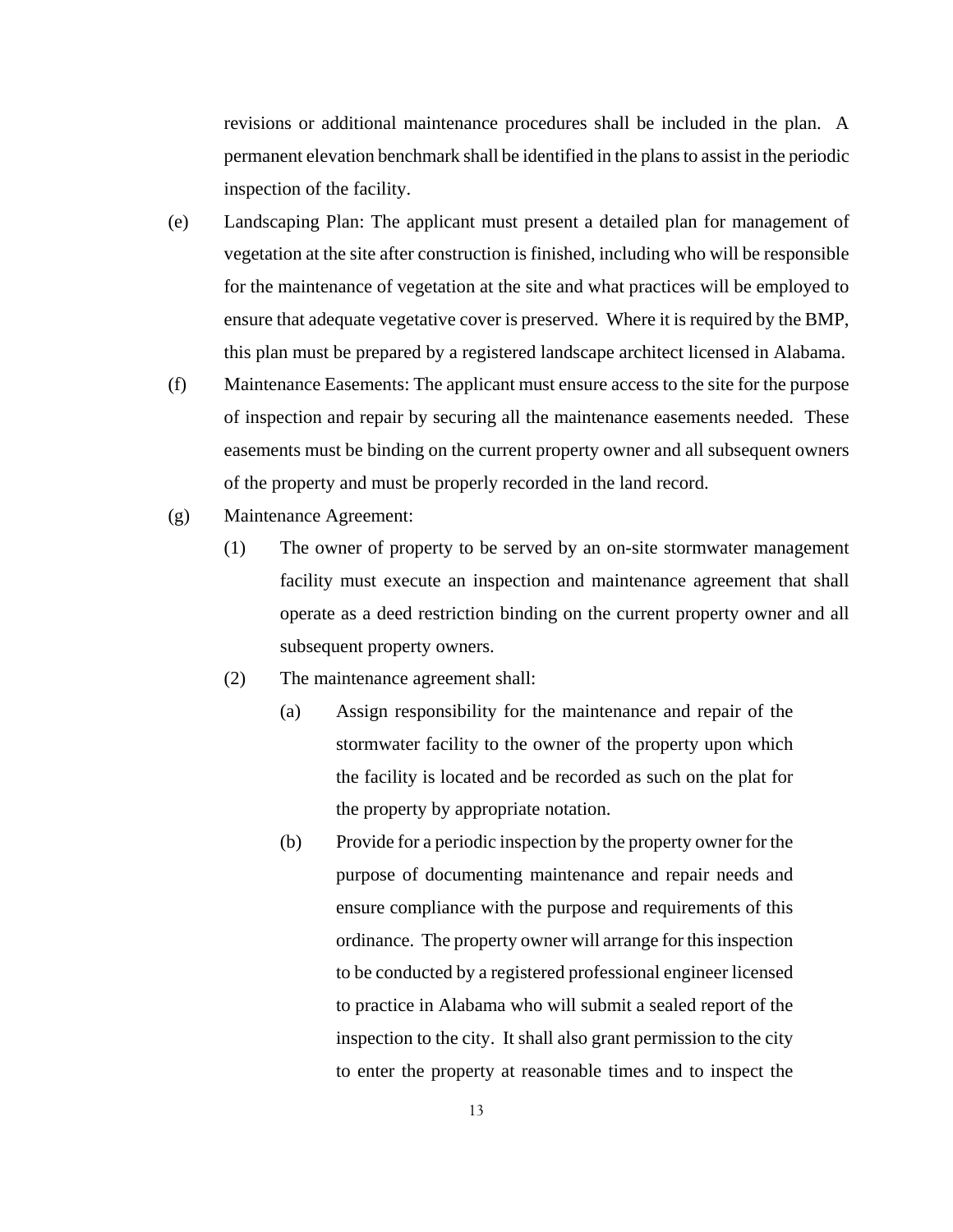revisions or additional maintenance procedures shall be included in the plan. A permanent elevation benchmark shall be identified in the plans to assist in the periodic inspection of the facility.

- (e) Landscaping Plan: The applicant must present a detailed plan for management of vegetation at the site after construction is finished, including who will be responsible for the maintenance of vegetation at the site and what practices will be employed to ensure that adequate vegetative cover is preserved. Where it is required by the BMP, this plan must be prepared by a registered landscape architect licensed in Alabama.
- (f) Maintenance Easements: The applicant must ensure access to the site for the purpose of inspection and repair by securing all the maintenance easements needed. These easements must be binding on the current property owner and all subsequent owners of the property and must be properly recorded in the land record.
- (g) Maintenance Agreement:
	- (1) The owner of property to be served by an on-site stormwater management facility must execute an inspection and maintenance agreement that shall operate as a deed restriction binding on the current property owner and all subsequent property owners.
	- (2) The maintenance agreement shall:
		- (a) Assign responsibility for the maintenance and repair of the stormwater facility to the owner of the property upon which the facility is located and be recorded as such on the plat for the property by appropriate notation.
		- (b) Provide for a periodic inspection by the property owner for the purpose of documenting maintenance and repair needs and ensure compliance with the purpose and requirements of this ordinance. The property owner will arrange for this inspection to be conducted by a registered professional engineer licensed to practice in Alabama who will submit a sealed report of the inspection to the city. It shall also grant permission to the city to enter the property at reasonable times and to inspect the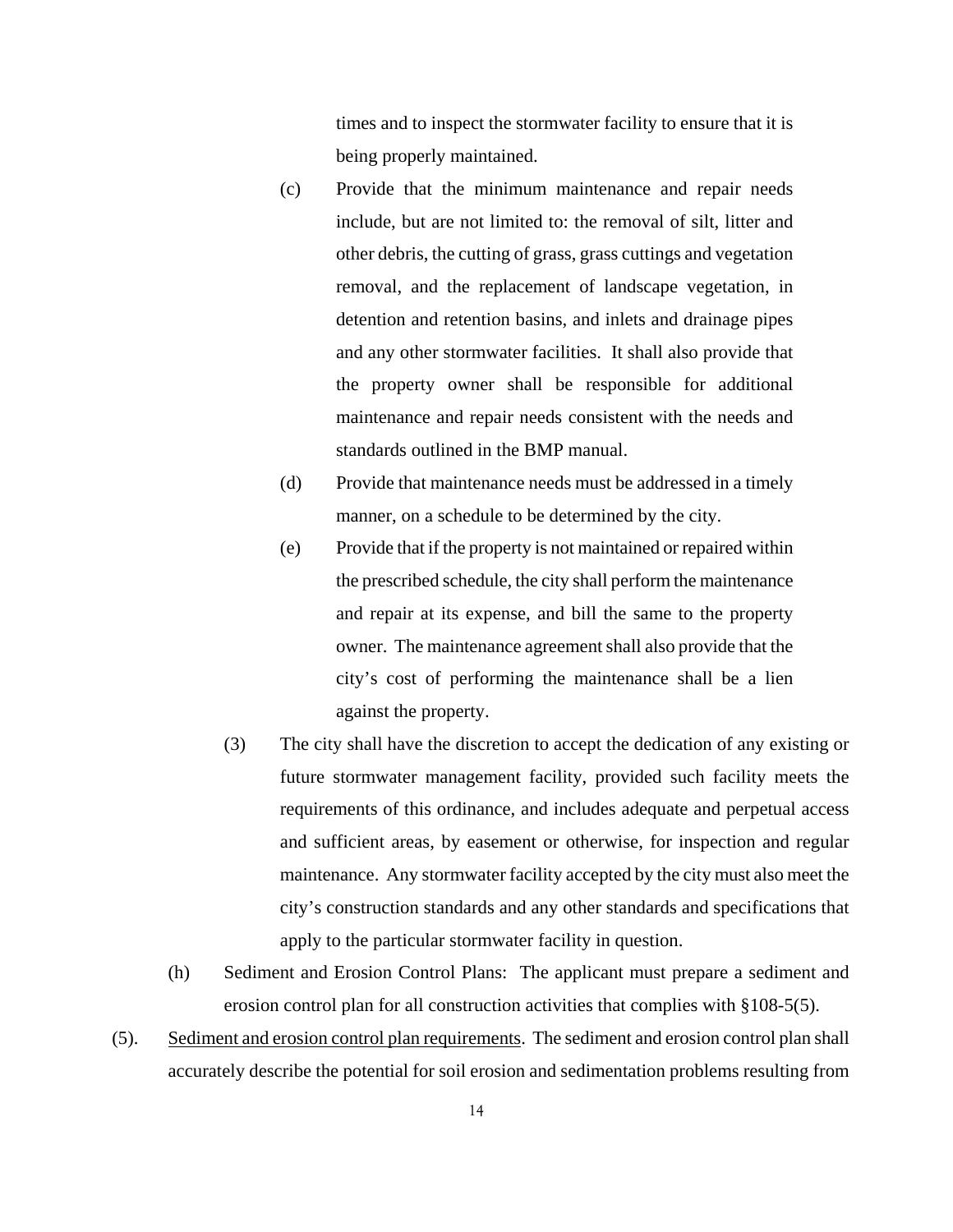times and to inspect the stormwater facility to ensure that it is being properly maintained.

- (c) Provide that the minimum maintenance and repair needs include, but are not limited to: the removal of silt, litter and other debris, the cutting of grass, grass cuttings and vegetation removal, and the replacement of landscape vegetation, in detention and retention basins, and inlets and drainage pipes and any other stormwater facilities. It shall also provide that the property owner shall be responsible for additional maintenance and repair needs consistent with the needs and standards outlined in the BMP manual.
- (d) Provide that maintenance needs must be addressed in a timely manner, on a schedule to be determined by the city.
- (e) Provide that if the property is not maintained or repaired within the prescribed schedule, the city shall perform the maintenance and repair at its expense, and bill the same to the property owner. The maintenance agreement shall also provide that the city's cost of performing the maintenance shall be a lien against the property.
- (3) The city shall have the discretion to accept the dedication of any existing or future stormwater management facility, provided such facility meets the requirements of this ordinance, and includes adequate and perpetual access and sufficient areas, by easement or otherwise, for inspection and regular maintenance. Any stormwater facility accepted by the city must also meet the city's construction standards and any other standards and specifications that apply to the particular stormwater facility in question.
- (h) Sediment and Erosion Control Plans: The applicant must prepare a sediment and erosion control plan for all construction activities that complies with §108-5(5).
- (5). Sediment and erosion control plan requirements. The sediment and erosion control plan shall accurately describe the potential for soil erosion and sedimentation problems resulting from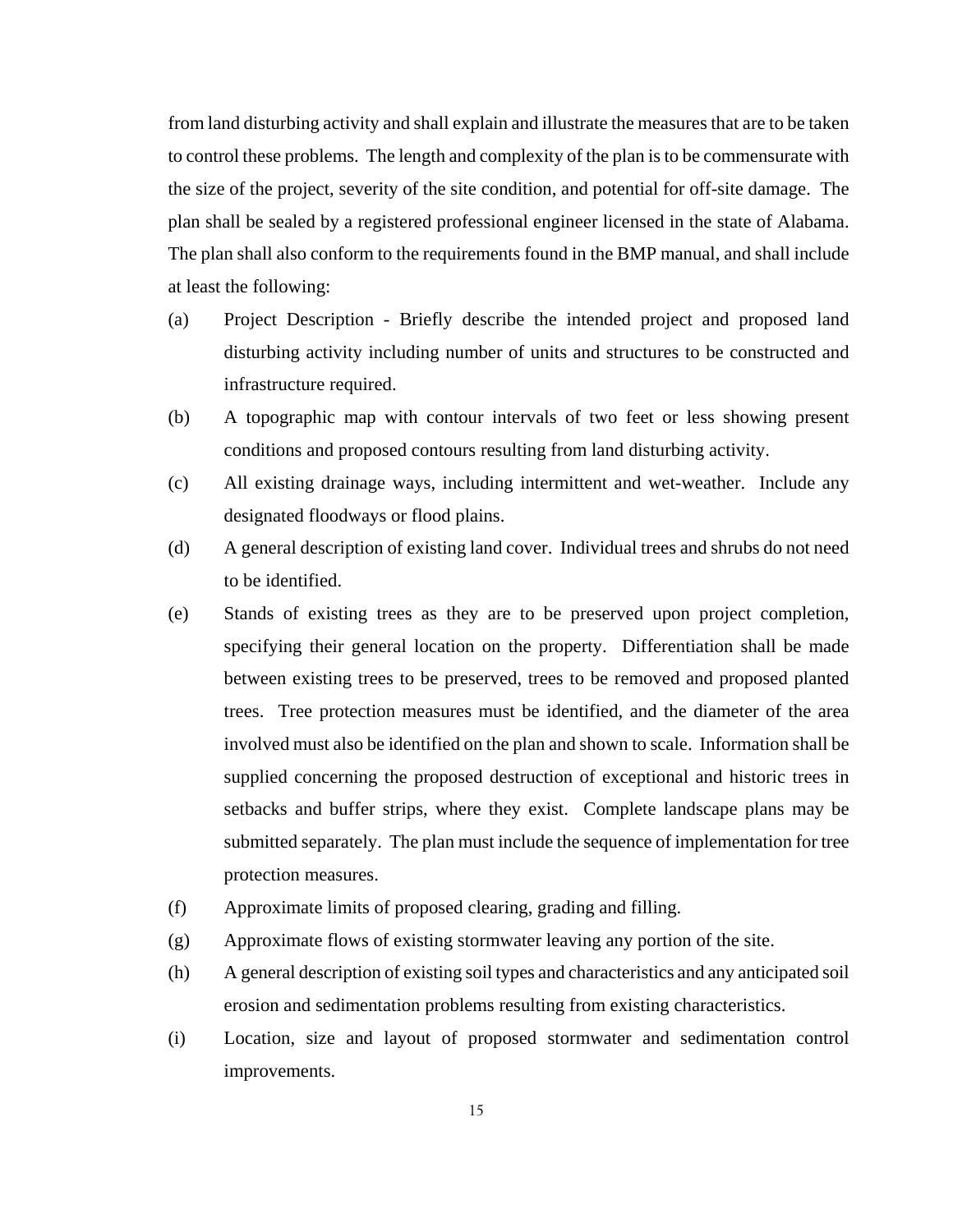from land disturbing activity and shall explain and illustrate the measures that are to be taken to control these problems. The length and complexity of the plan is to be commensurate with the size of the project, severity of the site condition, and potential for off-site damage. The plan shall be sealed by a registered professional engineer licensed in the state of Alabama. The plan shall also conform to the requirements found in the BMP manual, and shall include at least the following:

- (a) Project Description Briefly describe the intended project and proposed land disturbing activity including number of units and structures to be constructed and infrastructure required.
- (b) A topographic map with contour intervals of two feet or less showing present conditions and proposed contours resulting from land disturbing activity.
- (c) All existing drainage ways, including intermittent and wet-weather. Include any designated floodways or flood plains.
- (d) A general description of existing land cover. Individual trees and shrubs do not need to be identified.
- (e) Stands of existing trees as they are to be preserved upon project completion, specifying their general location on the property. Differentiation shall be made between existing trees to be preserved, trees to be removed and proposed planted trees. Tree protection measures must be identified, and the diameter of the area involved must also be identified on the plan and shown to scale. Information shall be supplied concerning the proposed destruction of exceptional and historic trees in setbacks and buffer strips, where they exist. Complete landscape plans may be submitted separately. The plan must include the sequence of implementation for tree protection measures.
- (f) Approximate limits of proposed clearing, grading and filling.
- (g) Approximate flows of existing stormwater leaving any portion of the site.
- (h) A general description of existing soil types and characteristics and any anticipated soil erosion and sedimentation problems resulting from existing characteristics.
- (i) Location, size and layout of proposed stormwater and sedimentation control improvements.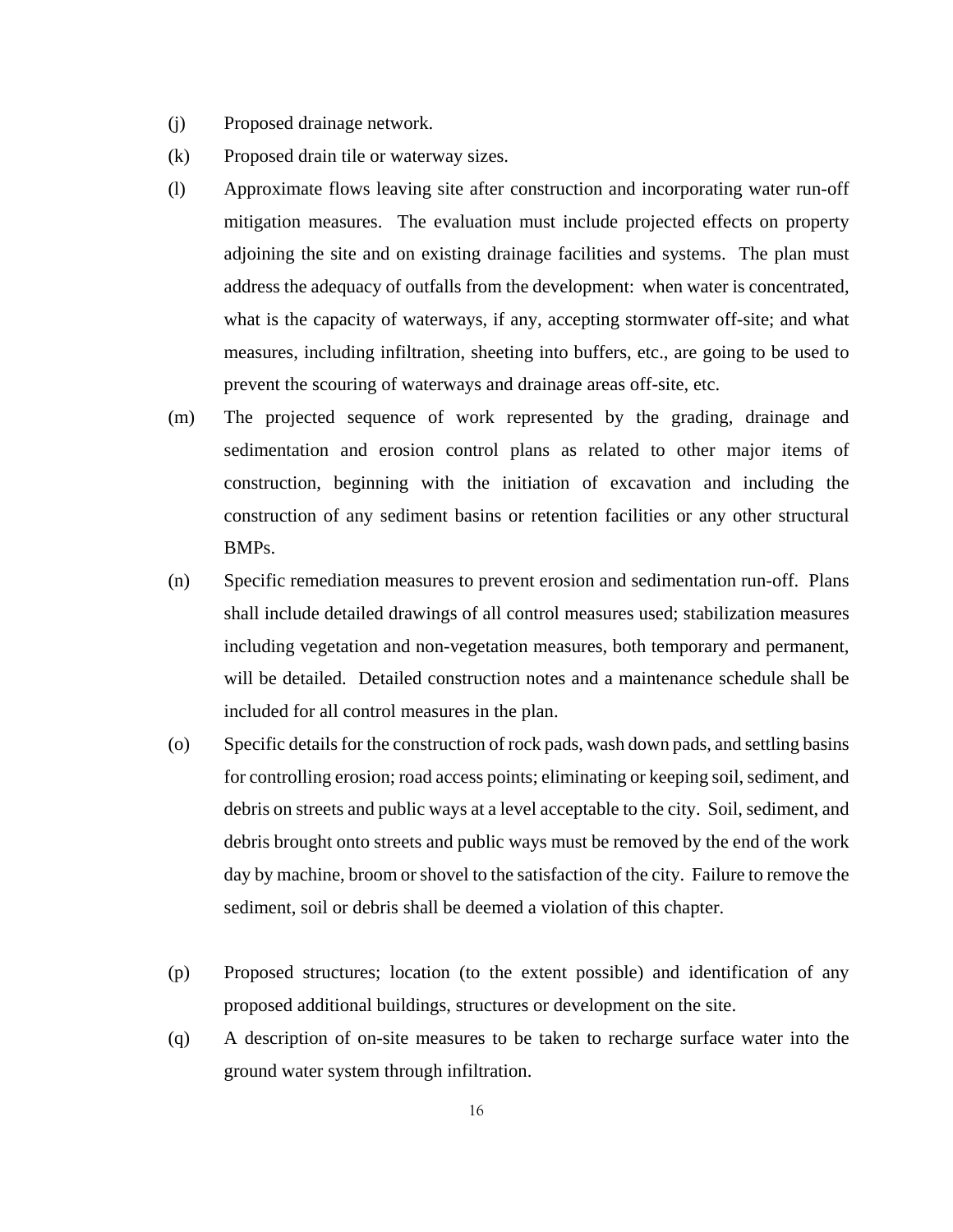- (j) Proposed drainage network.
- (k) Proposed drain tile or waterway sizes.
- (l) Approximate flows leaving site after construction and incorporating water run-off mitigation measures. The evaluation must include projected effects on property adjoining the site and on existing drainage facilities and systems. The plan must address the adequacy of outfalls from the development: when water is concentrated, what is the capacity of waterways, if any, accepting stormwater off-site; and what measures, including infiltration, sheeting into buffers, etc., are going to be used to prevent the scouring of waterways and drainage areas off-site, etc.
- (m) The projected sequence of work represented by the grading, drainage and sedimentation and erosion control plans as related to other major items of construction, beginning with the initiation of excavation and including the construction of any sediment basins or retention facilities or any other structural BMPs.
- (n) Specific remediation measures to prevent erosion and sedimentation run-off. Plans shall include detailed drawings of all control measures used; stabilization measures including vegetation and non-vegetation measures, both temporary and permanent, will be detailed. Detailed construction notes and a maintenance schedule shall be included for all control measures in the plan.
- (o) Specific details for the construction of rock pads, wash down pads, and settling basins for controlling erosion; road access points; eliminating or keeping soil, sediment, and debris on streets and public ways at a level acceptable to the city. Soil, sediment, and debris brought onto streets and public ways must be removed by the end of the work day by machine, broom or shovel to the satisfaction of the city. Failure to remove the sediment, soil or debris shall be deemed a violation of this chapter.
- (p) Proposed structures; location (to the extent possible) and identification of any proposed additional buildings, structures or development on the site.
- (q) A description of on-site measures to be taken to recharge surface water into the ground water system through infiltration.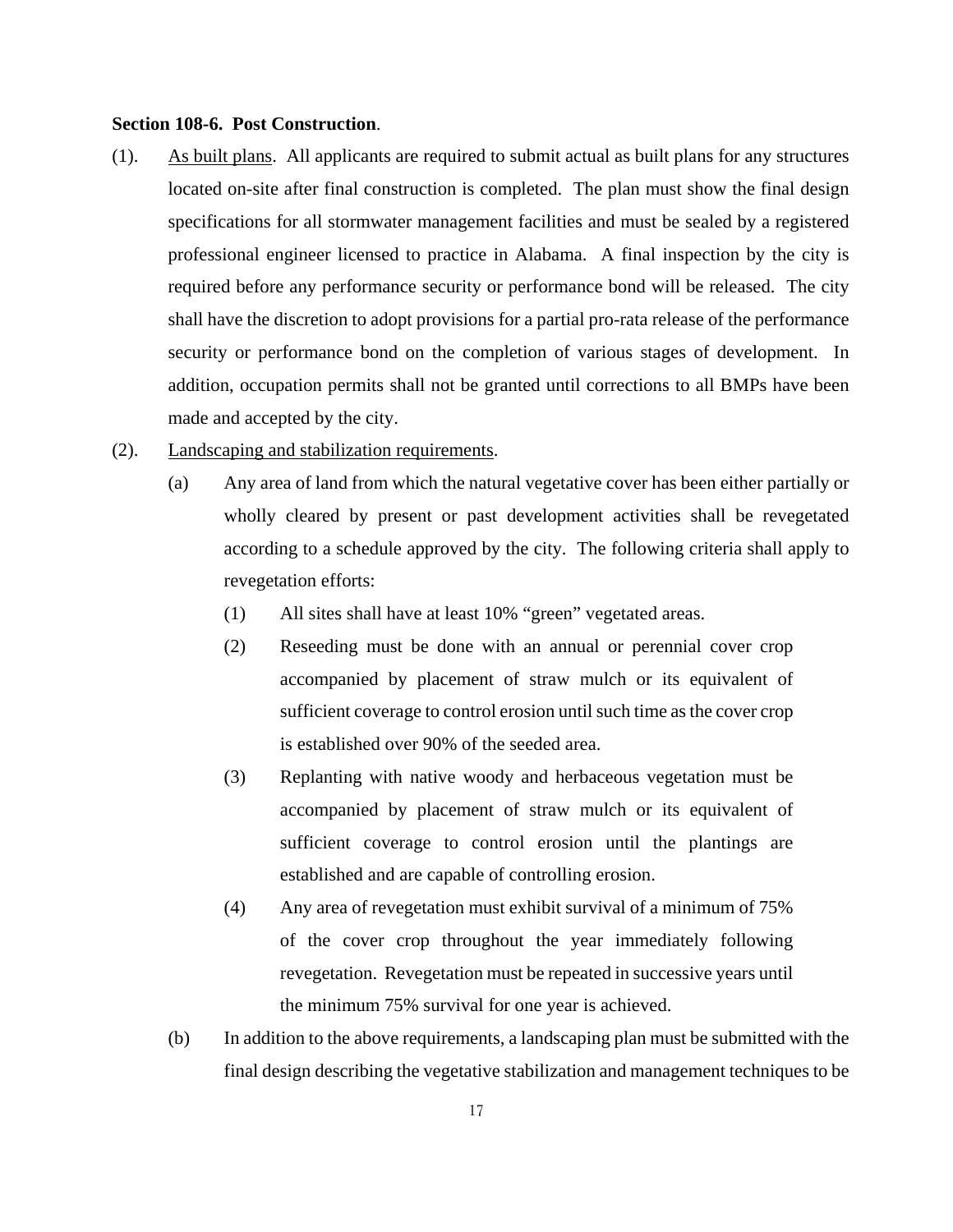### **Section 108-6. Post Construction**.

- (1). As built plans. All applicants are required to submit actual as built plans for any structures located on-site after final construction is completed. The plan must show the final design specifications for all stormwater management facilities and must be sealed by a registered professional engineer licensed to practice in Alabama. A final inspection by the city is required before any performance security or performance bond will be released. The city shall have the discretion to adopt provisions for a partial pro-rata release of the performance security or performance bond on the completion of various stages of development. In addition, occupation permits shall not be granted until corrections to all BMPs have been made and accepted by the city.
- (2). Landscaping and stabilization requirements.
	- (a) Any area of land from which the natural vegetative cover has been either partially or wholly cleared by present or past development activities shall be revegetated according to a schedule approved by the city. The following criteria shall apply to revegetation efforts:
		- (1) All sites shall have at least 10% "green" vegetated areas.
		- (2) Reseeding must be done with an annual or perennial cover crop accompanied by placement of straw mulch or its equivalent of sufficient coverage to control erosion until such time as the cover crop is established over 90% of the seeded area.
		- (3) Replanting with native woody and herbaceous vegetation must be accompanied by placement of straw mulch or its equivalent of sufficient coverage to control erosion until the plantings are established and are capable of controlling erosion.
		- (4) Any area of revegetation must exhibit survival of a minimum of 75% of the cover crop throughout the year immediately following revegetation. Revegetation must be repeated in successive years until the minimum 75% survival for one year is achieved.
	- (b) In addition to the above requirements, a landscaping plan must be submitted with the final design describing the vegetative stabilization and management techniques to be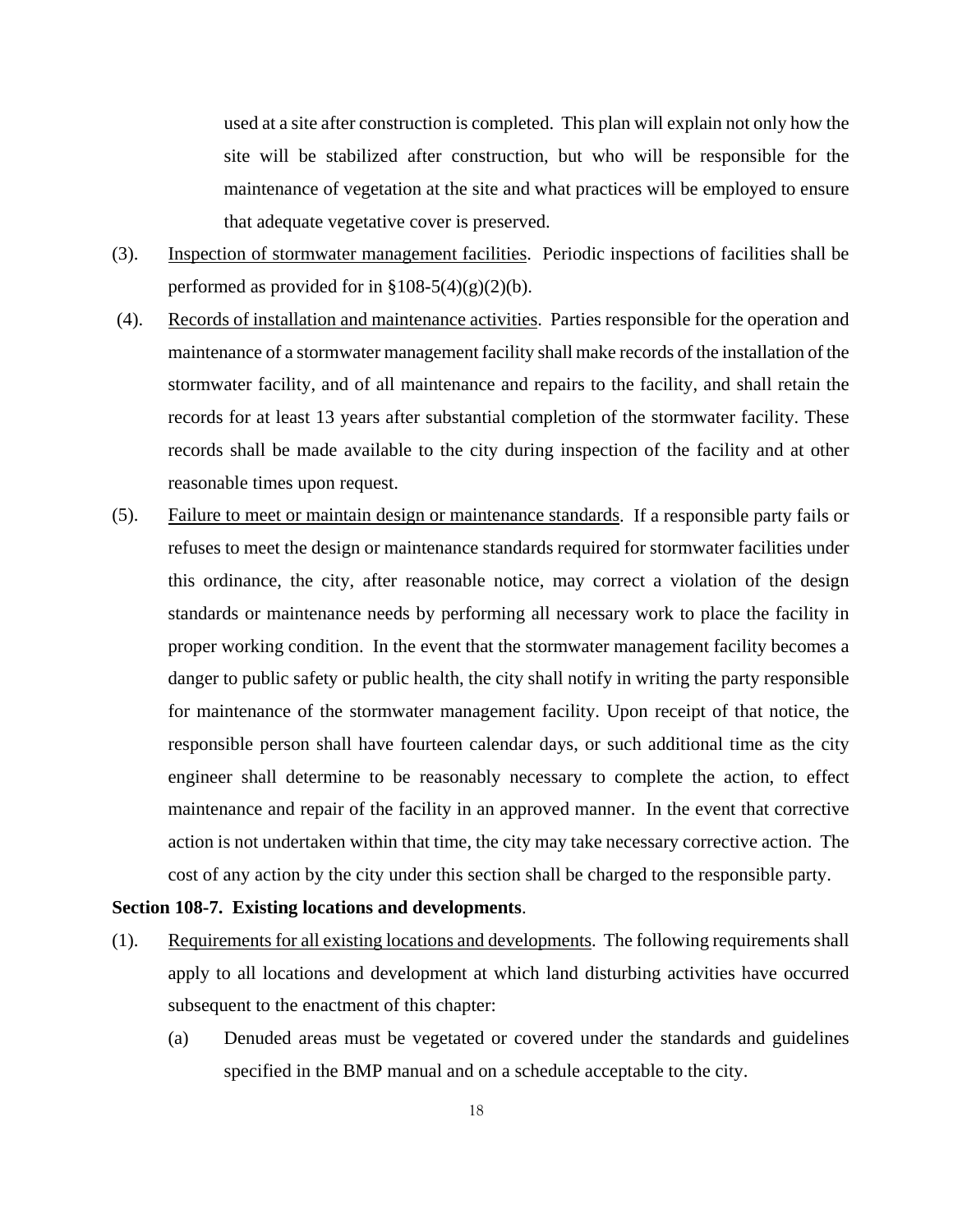used at a site after construction is completed. This plan will explain not only how the site will be stabilized after construction, but who will be responsible for the maintenance of vegetation at the site and what practices will be employed to ensure that adequate vegetative cover is preserved.

- (3). Inspection of stormwater management facilities. Periodic inspections of facilities shall be performed as provided for in  $\S 108-5(4)(g)(2)(b)$ .
- (4). Records of installation and maintenance activities. Parties responsible for the operation and maintenance of a stormwater management facility shall make records of the installation of the stormwater facility, and of all maintenance and repairs to the facility, and shall retain the records for at least 13 years after substantial completion of the stormwater facility. These records shall be made available to the city during inspection of the facility and at other reasonable times upon request.
- (5). Failure to meet or maintain design or maintenance standards. If a responsible party fails or refuses to meet the design or maintenance standards required for stormwater facilities under this ordinance, the city, after reasonable notice, may correct a violation of the design standards or maintenance needs by performing all necessary work to place the facility in proper working condition. In the event that the stormwater management facility becomes a danger to public safety or public health, the city shall notify in writing the party responsible for maintenance of the stormwater management facility. Upon receipt of that notice, the responsible person shall have fourteen calendar days, or such additional time as the city engineer shall determine to be reasonably necessary to complete the action, to effect maintenance and repair of the facility in an approved manner. In the event that corrective action is not undertaken within that time, the city may take necessary corrective action. The cost of any action by the city under this section shall be charged to the responsible party.

## **Section 108-7. Existing locations and developments**.

- (1). Requirements for all existing locations and developments. The following requirements shall apply to all locations and development at which land disturbing activities have occurred subsequent to the enactment of this chapter:
	- (a) Denuded areas must be vegetated or covered under the standards and guidelines specified in the BMP manual and on a schedule acceptable to the city.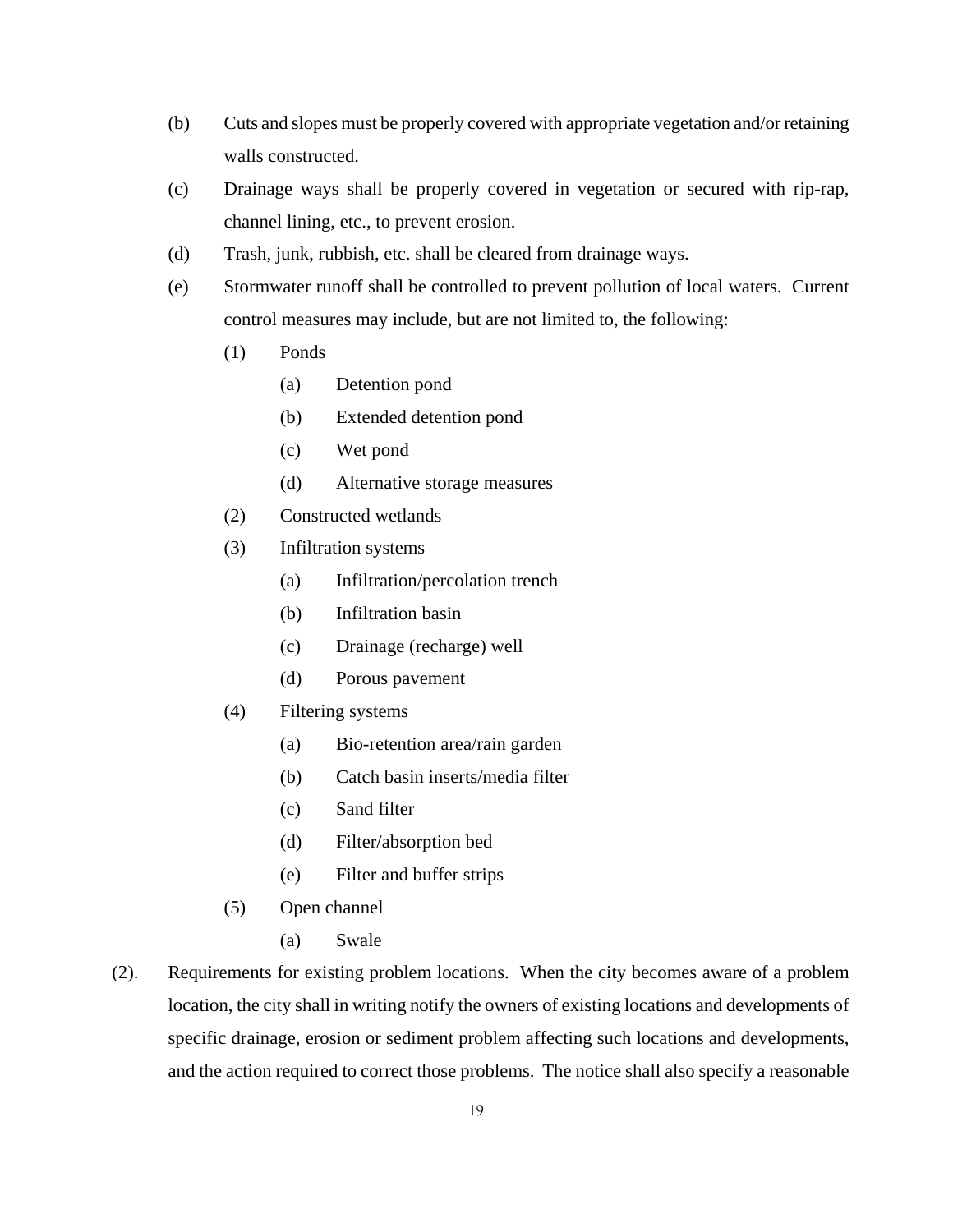- (b) Cuts and slopes must be properly covered with appropriate vegetation and/or retaining walls constructed.
- (c) Drainage ways shall be properly covered in vegetation or secured with rip-rap, channel lining, etc., to prevent erosion.
- (d) Trash, junk, rubbish, etc. shall be cleared from drainage ways.
- (e) Stormwater runoff shall be controlled to prevent pollution of local waters. Current control measures may include, but are not limited to, the following:
	- (1) Ponds
		- (a) Detention pond
		- (b) Extended detention pond
		- (c) Wet pond
		- (d) Alternative storage measures
	- (2) Constructed wetlands
	- (3) Infiltration systems
		- (a) Infiltration/percolation trench
		- (b) Infiltration basin
		- (c) Drainage (recharge) well
		- (d) Porous pavement
	- (4) Filtering systems
		- (a) Bio-retention area/rain garden
		- (b) Catch basin inserts/media filter
		- (c) Sand filter
		- (d) Filter/absorption bed
		- (e) Filter and buffer strips
	- (5) Open channel
		- (a) Swale
- (2). Requirements for existing problem locations. When the city becomes aware of a problem location, the city shall in writing notify the owners of existing locations and developments of specific drainage, erosion or sediment problem affecting such locations and developments, and the action required to correct those problems. The notice shall also specify a reasonable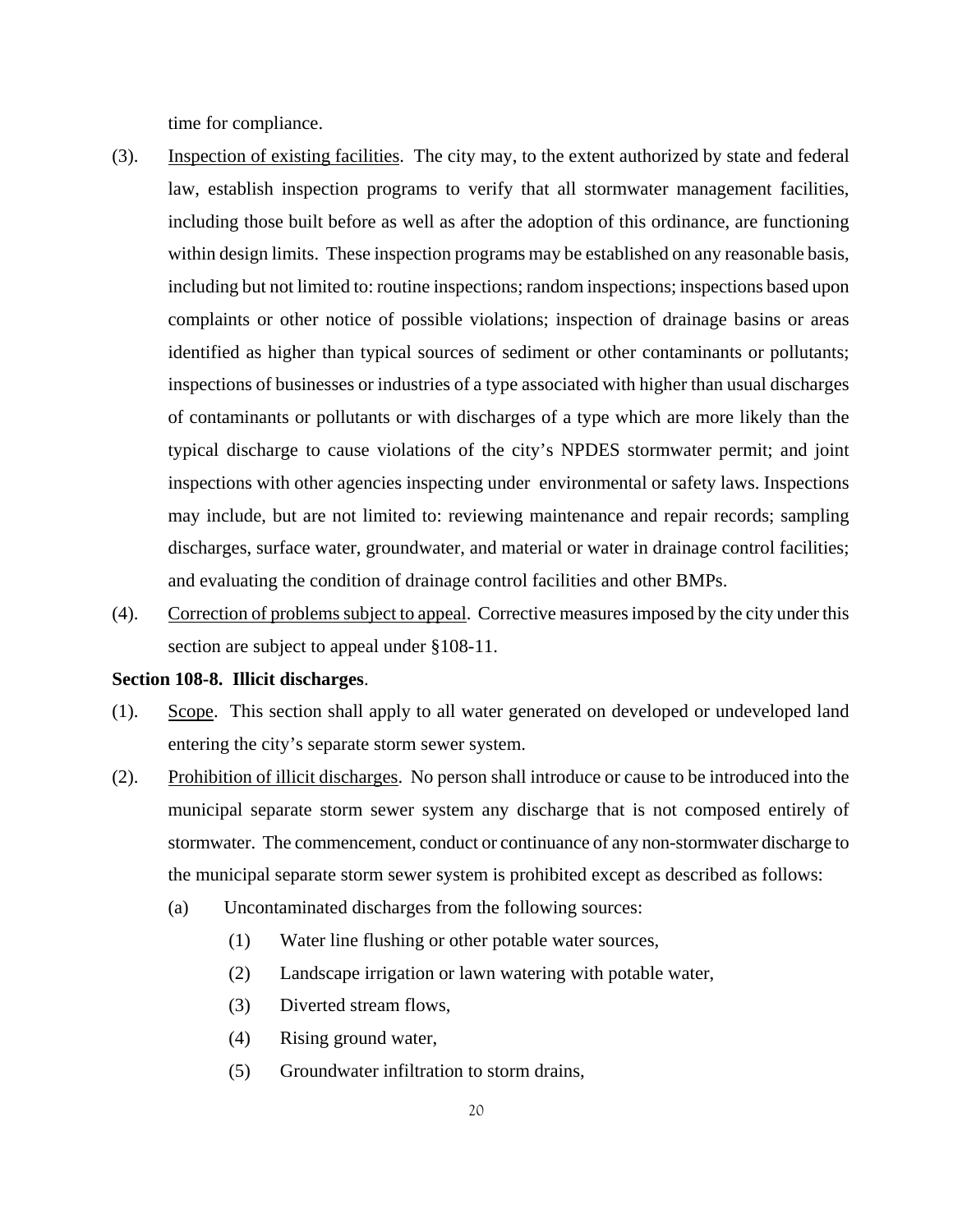time for compliance.

- (3). Inspection of existing facilities. The city may, to the extent authorized by state and federal law, establish inspection programs to verify that all stormwater management facilities, including those built before as well as after the adoption of this ordinance, are functioning within design limits. These inspection programs may be established on any reasonable basis, including but not limited to: routine inspections; random inspections; inspections based upon complaints or other notice of possible violations; inspection of drainage basins or areas identified as higher than typical sources of sediment or other contaminants or pollutants; inspections of businesses or industries of a type associated with higher than usual discharges of contaminants or pollutants or with discharges of a type which are more likely than the typical discharge to cause violations of the city's NPDES stormwater permit; and joint inspections with other agencies inspecting under environmental or safety laws. Inspections may include, but are not limited to: reviewing maintenance and repair records; sampling discharges, surface water, groundwater, and material or water in drainage control facilities; and evaluating the condition of drainage control facilities and other BMPs.
- (4). Correction of problems subject to appeal. Corrective measures imposed by the city under this section are subject to appeal under §108-11.

### **Section 108-8. Illicit discharges**.

- (1). Scope. This section shall apply to all water generated on developed or undeveloped land entering the city's separate storm sewer system.
- (2). Prohibition of illicit discharges. No person shall introduce or cause to be introduced into the municipal separate storm sewer system any discharge that is not composed entirely of stormwater. The commencement, conduct or continuance of any non-stormwater discharge to the municipal separate storm sewer system is prohibited except as described as follows:
	- (a) Uncontaminated discharges from the following sources:
		- (1) Water line flushing or other potable water sources,
		- (2) Landscape irrigation or lawn watering with potable water,
		- (3) Diverted stream flows,
		- (4) Rising ground water,
		- (5) Groundwater infiltration to storm drains,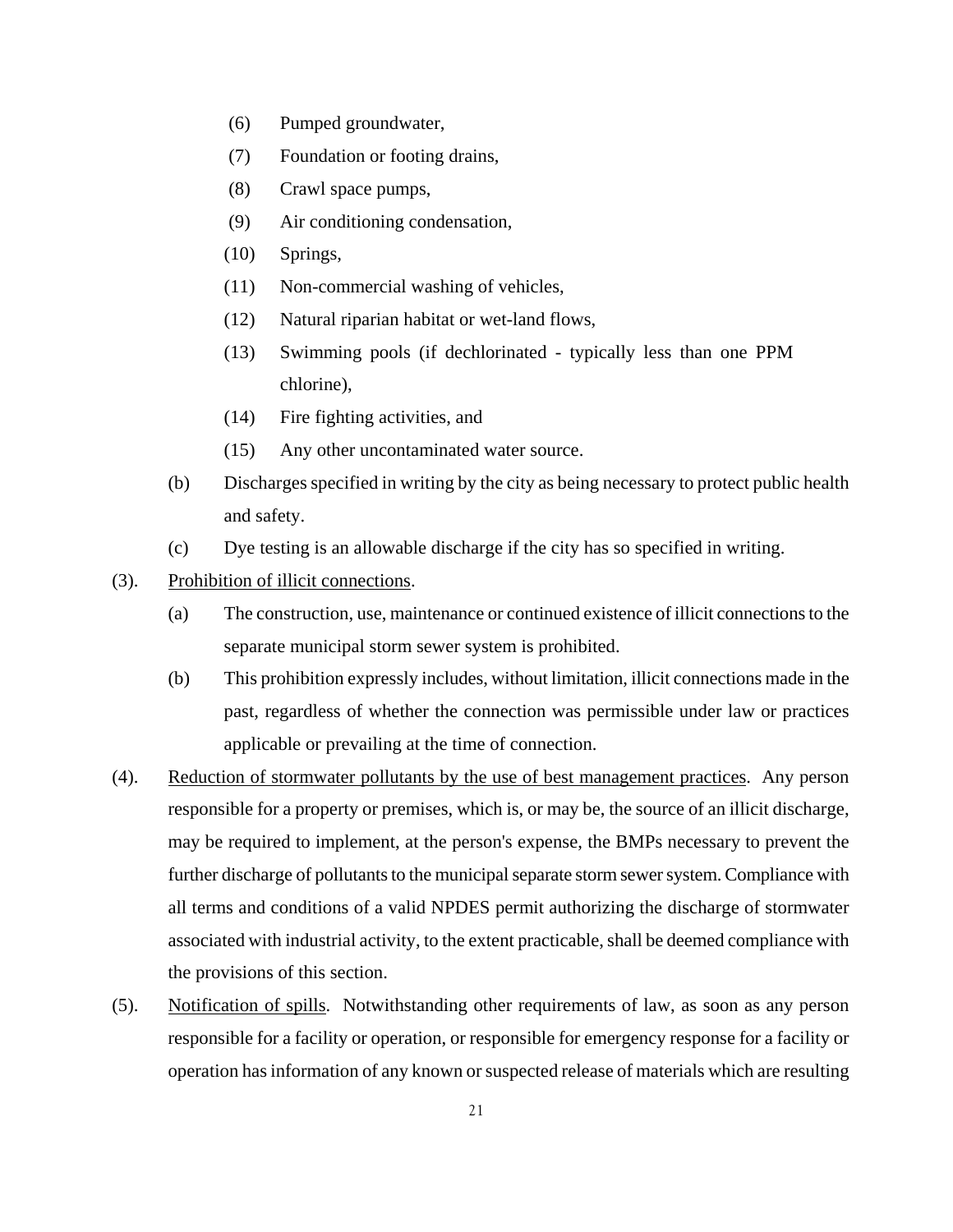- (6) Pumped groundwater,
- (7) Foundation or footing drains,
- (8) Crawl space pumps,
- (9) Air conditioning condensation,
- (10) Springs,
- (11) Non-commercial washing of vehicles,
- (12) Natural riparian habitat or wet-land flows,
- (13) Swimming pools (if dechlorinated typically less than one PPM chlorine),
- (14) Fire fighting activities, and
- (15) Any other uncontaminated water source.
- (b) Discharges specified in writing by the city as being necessary to protect public health and safety.
- (c) Dye testing is an allowable discharge if the city has so specified in writing.
- (3). Prohibition of illicit connections.
	- (a) The construction, use, maintenance or continued existence of illicit connections to the separate municipal storm sewer system is prohibited.
	- (b) This prohibition expressly includes, without limitation, illicit connections made in the past, regardless of whether the connection was permissible under law or practices applicable or prevailing at the time of connection.
- (4). Reduction of stormwater pollutants by the use of best management practices. Any person responsible for a property or premises, which is, or may be, the source of an illicit discharge, may be required to implement, at the person's expense, the BMPs necessary to prevent the further discharge of pollutants to the municipal separate storm sewer system. Compliance with all terms and conditions of a valid NPDES permit authorizing the discharge of stormwater associated with industrial activity, to the extent practicable, shall be deemed compliance with the provisions of this section.
- (5). Notification of spills. Notwithstanding other requirements of law, as soon as any person responsible for a facility or operation, or responsible for emergency response for a facility or operation has information of any known or suspected release of materials which are resulting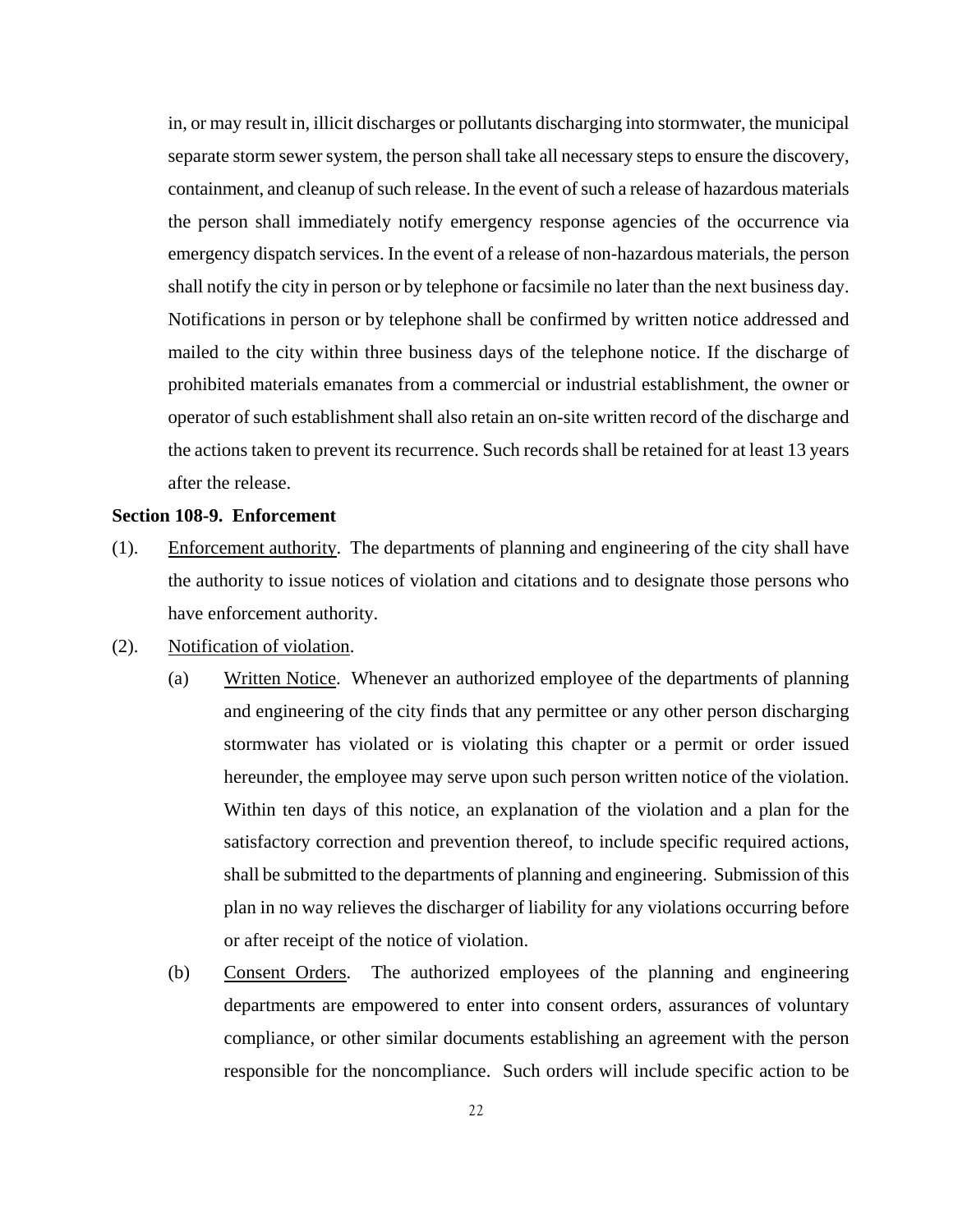in, or may result in, illicit discharges or pollutants discharging into stormwater, the municipal separate storm sewer system, the person shall take all necessary steps to ensure the discovery, containment, and cleanup of such release. In the event of such a release of hazardous materials the person shall immediately notify emergency response agencies of the occurrence via emergency dispatch services. In the event of a release of non-hazardous materials, the person shall notify the city in person or by telephone or facsimile no later than the next business day. Notifications in person or by telephone shall be confirmed by written notice addressed and mailed to the city within three business days of the telephone notice. If the discharge of prohibited materials emanates from a commercial or industrial establishment, the owner or operator of such establishment shall also retain an on-site written record of the discharge and the actions taken to prevent its recurrence. Such records shall be retained for at least 13 years after the release.

### **Section 108-9. Enforcement**

- (1). Enforcement authority. The departments of planning and engineering of the city shall have the authority to issue notices of violation and citations and to designate those persons who have enforcement authority.
- (2). Notification of violation.
	- (a) Written Notice. Whenever an authorized employee of the departments of planning and engineering of the city finds that any permittee or any other person discharging stormwater has violated or is violating this chapter or a permit or order issued hereunder, the employee may serve upon such person written notice of the violation. Within ten days of this notice, an explanation of the violation and a plan for the satisfactory correction and prevention thereof, to include specific required actions, shall be submitted to the departments of planning and engineering. Submission of this plan in no way relieves the discharger of liability for any violations occurring before or after receipt of the notice of violation.
	- (b) Consent Orders. The authorized employees of the planning and engineering departments are empowered to enter into consent orders, assurances of voluntary compliance, or other similar documents establishing an agreement with the person responsible for the noncompliance. Such orders will include specific action to be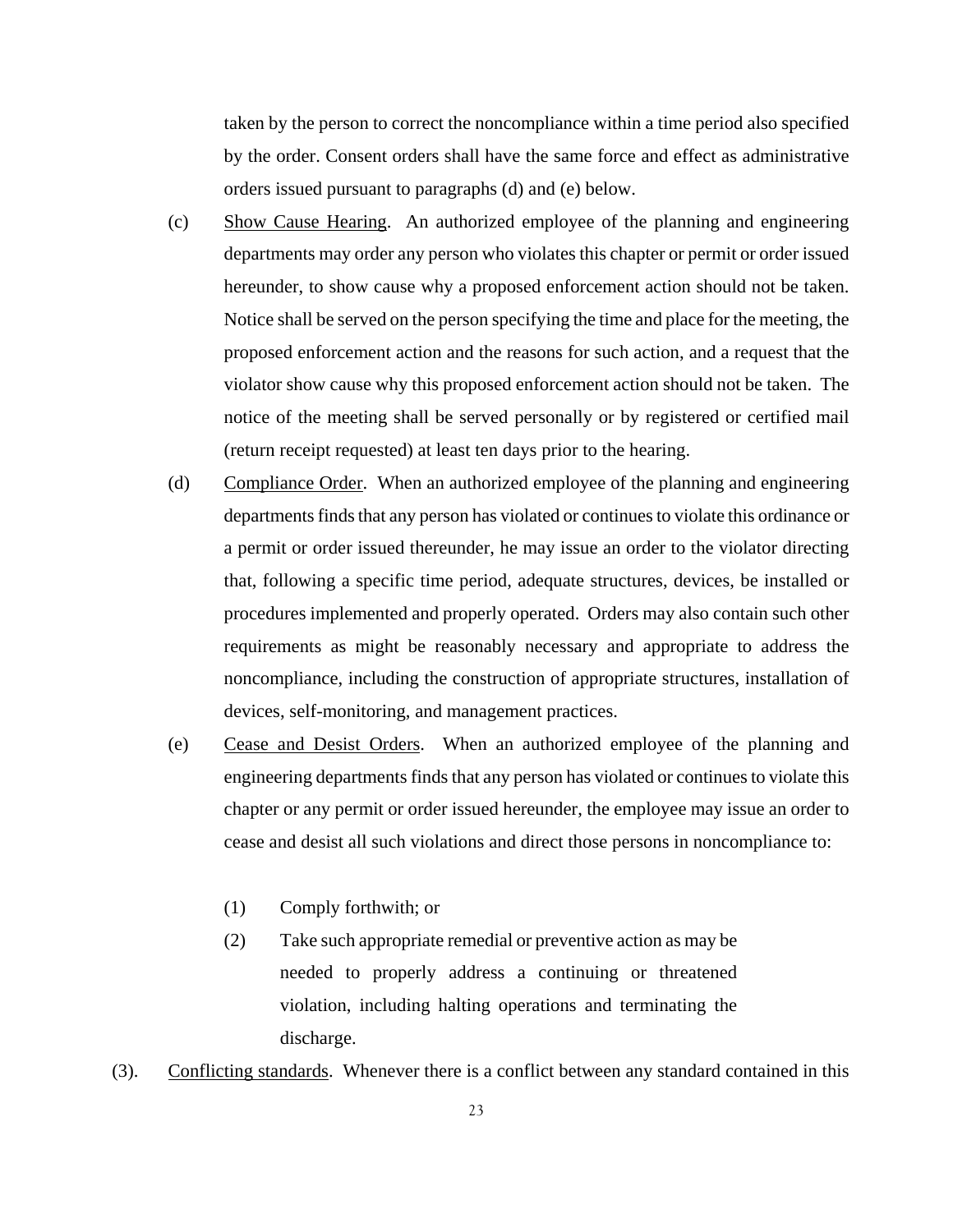taken by the person to correct the noncompliance within a time period also specified by the order. Consent orders shall have the same force and effect as administrative orders issued pursuant to paragraphs (d) and (e) below.

- (c) Show Cause Hearing. An authorized employee of the planning and engineering departments may order any person who violates this chapter or permit or order issued hereunder, to show cause why a proposed enforcement action should not be taken. Notice shall be served on the person specifying the time and place for the meeting, the proposed enforcement action and the reasons for such action, and a request that the violator show cause why this proposed enforcement action should not be taken. The notice of the meeting shall be served personally or by registered or certified mail (return receipt requested) at least ten days prior to the hearing.
- (d) Compliance Order. When an authorized employee of the planning and engineering departments finds that any person has violated or continues to violate this ordinance or a permit or order issued thereunder, he may issue an order to the violator directing that, following a specific time period, adequate structures, devices, be installed or procedures implemented and properly operated. Orders may also contain such other requirements as might be reasonably necessary and appropriate to address the noncompliance, including the construction of appropriate structures, installation of devices, self-monitoring, and management practices.
- (e) Cease and Desist Orders. When an authorized employee of the planning and engineering departments finds that any person has violated or continues to violate this chapter or any permit or order issued hereunder, the employee may issue an order to cease and desist all such violations and direct those persons in noncompliance to:
	- (1) Comply forthwith; or
	- (2) Take such appropriate remedial or preventive action as may be needed to properly address a continuing or threatened violation, including halting operations and terminating the discharge.
- (3). Conflicting standards. Whenever there is a conflict between any standard contained in this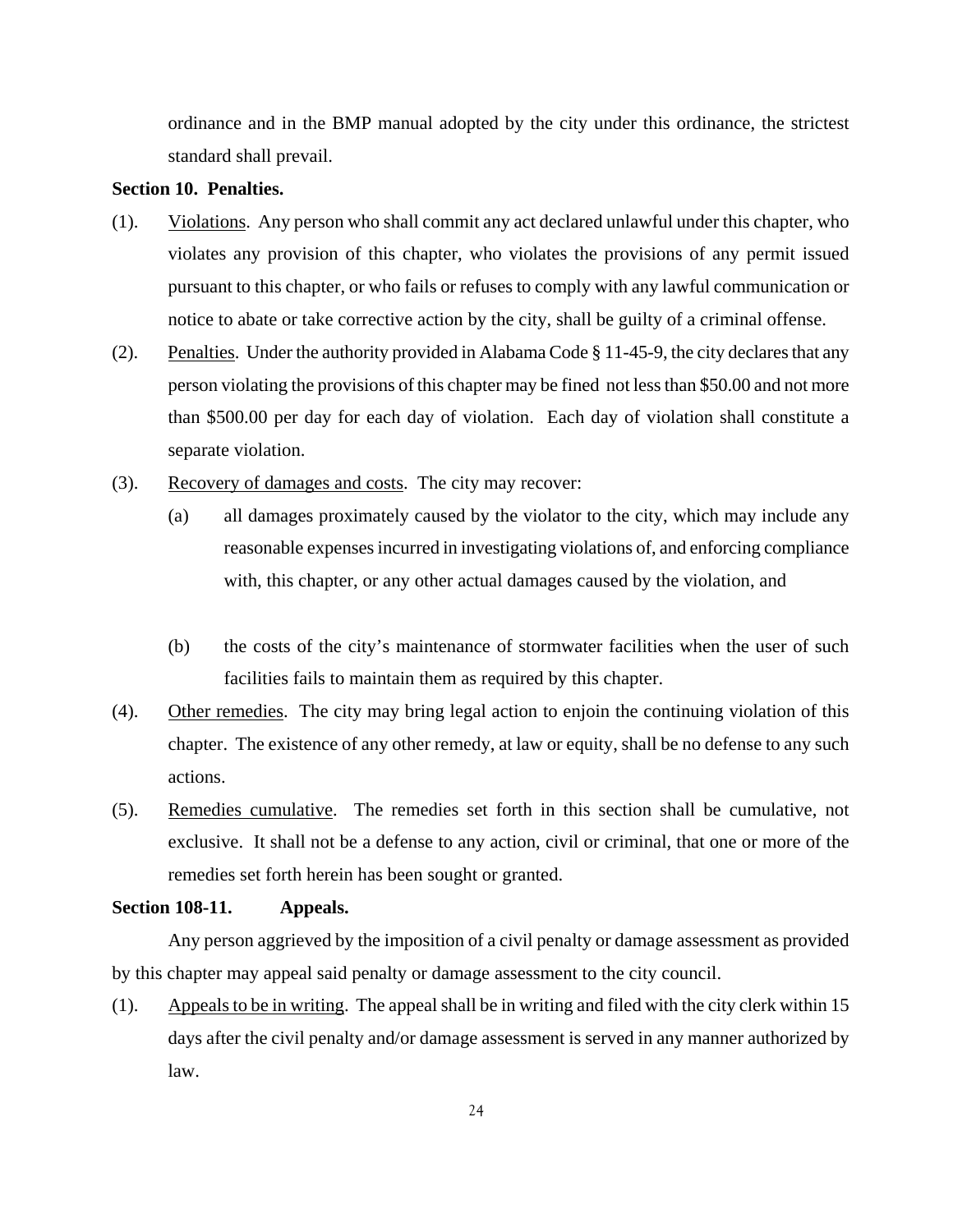ordinance and in the BMP manual adopted by the city under this ordinance, the strictest standard shall prevail.

## **Section 10. Penalties.**

- (1). Violations. Any person who shall commit any act declared unlawful under this chapter, who violates any provision of this chapter, who violates the provisions of any permit issued pursuant to this chapter, or who fails or refuses to comply with any lawful communication or notice to abate or take corrective action by the city, shall be guilty of a criminal offense.
- (2). Penalties. Under the authority provided in Alabama Code § 11-45-9, the city declares that any person violating the provisions of this chapter may be fined not less than \$50.00 and not more than \$500.00 per day for each day of violation. Each day of violation shall constitute a separate violation.
- (3). Recovery of damages and costs. The city may recover:
	- (a) all damages proximately caused by the violator to the city, which may include any reasonable expenses incurred in investigating violations of, and enforcing compliance with, this chapter, or any other actual damages caused by the violation, and
	- (b) the costs of the city's maintenance of stormwater facilities when the user of such facilities fails to maintain them as required by this chapter.
- (4). Other remedies. The city may bring legal action to enjoin the continuing violation of this chapter. The existence of any other remedy, at law or equity, shall be no defense to any such actions.
- (5). Remedies cumulative. The remedies set forth in this section shall be cumulative, not exclusive. It shall not be a defense to any action, civil or criminal, that one or more of the remedies set forth herein has been sought or granted.

## **Section 108-11. Appeals.**

Any person aggrieved by the imposition of a civil penalty or damage assessment as provided by this chapter may appeal said penalty or damage assessment to the city council.

(1). Appeals to be in writing. The appeal shall be in writing and filed with the city clerk within 15 days after the civil penalty and/or damage assessment is served in any manner authorized by law.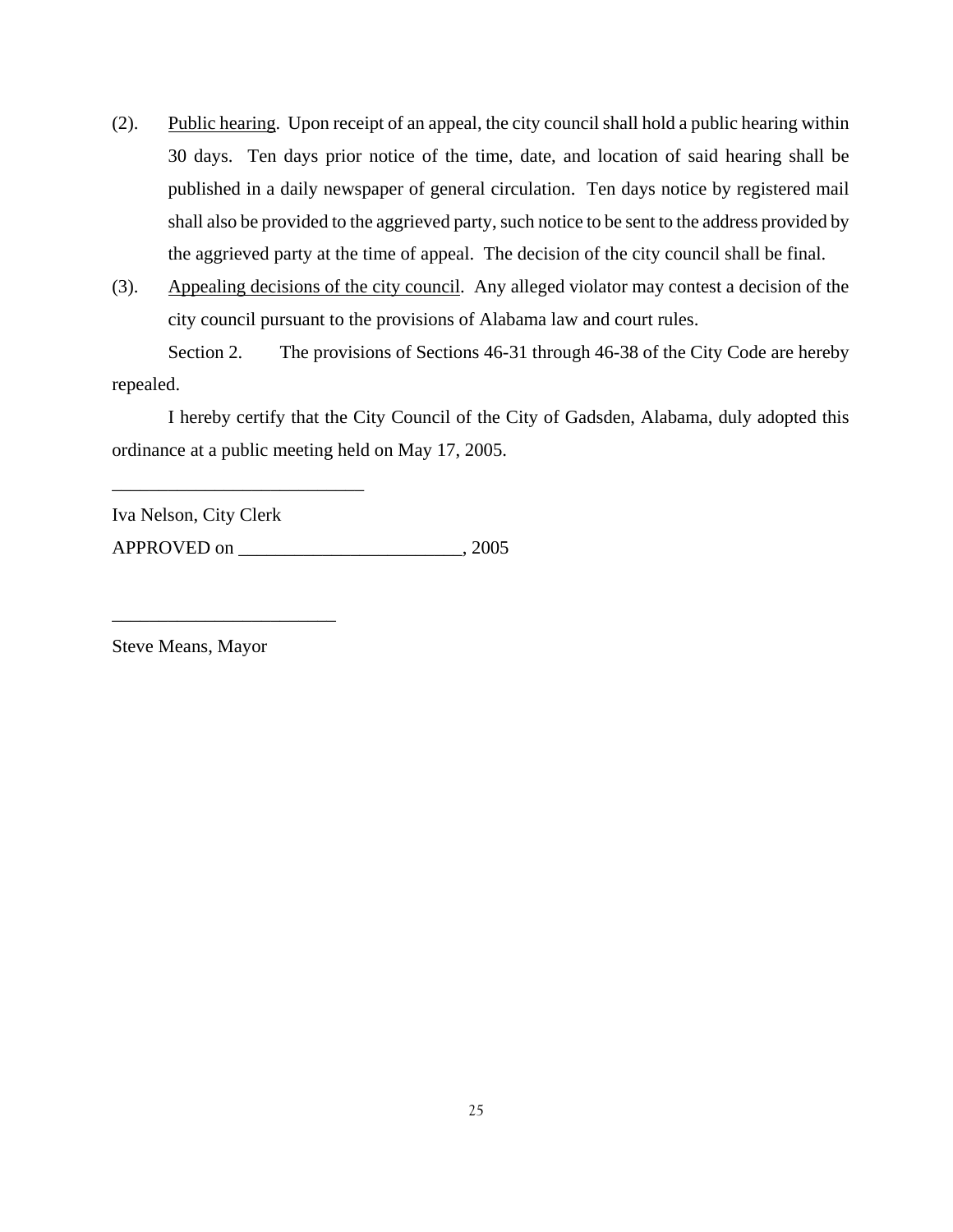- (2). Public hearing. Upon receipt of an appeal, the city council shall hold a public hearing within 30 days. Ten days prior notice of the time, date, and location of said hearing shall be published in a daily newspaper of general circulation. Ten days notice by registered mail shall also be provided to the aggrieved party, such notice to be sent to the address provided by the aggrieved party at the time of appeal. The decision of the city council shall be final.
- (3). Appealing decisions of the city council. Any alleged violator may contest a decision of the city council pursuant to the provisions of Alabama law and court rules.

 Section 2. The provisions of Sections 46-31 through 46-38 of the City Code are hereby repealed.

I hereby certify that the City Council of the City of Gadsden, Alabama, duly adopted this ordinance at a public meeting held on May 17, 2005.

Iva Nelson, City Clerk

\_\_\_\_\_\_\_\_\_\_\_\_\_\_\_\_\_\_\_\_\_\_\_\_\_\_\_

\_\_\_\_\_\_\_\_\_\_\_\_\_\_\_\_\_\_\_\_\_\_\_\_

APPROVED on  $, 2005$ 

Steve Means, Mayor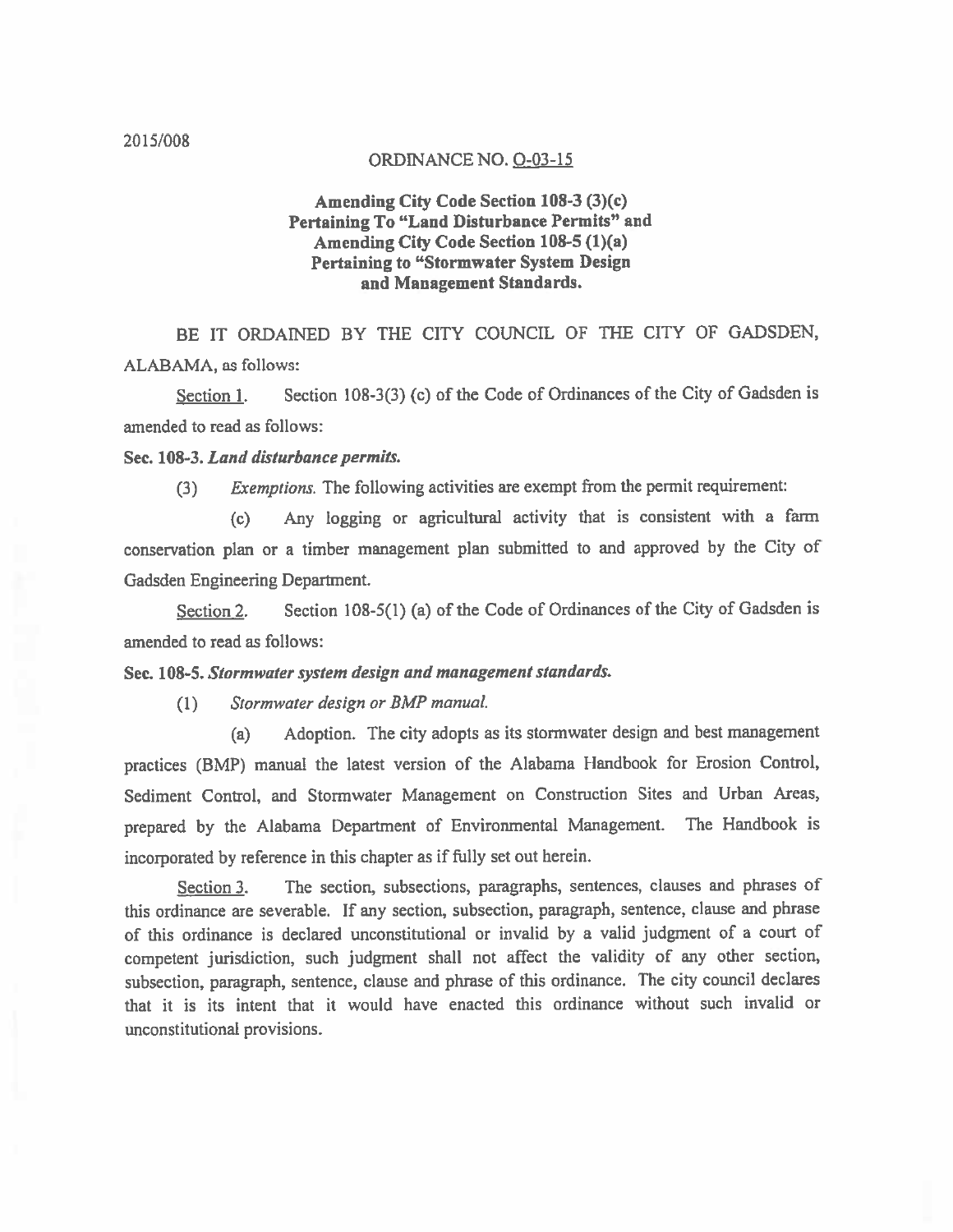### ORDINANCE NO. O-03-15

## Amending City Code Section 108-3 (3)(c) Pertaining To "Land Disturbance Permits" and Amending City Code Section 108-5 (1)(a) **Pertaining to "Stormwater System Design** and Management Standards.

BE IT ORDAINED BY THE CITY COUNCIL OF THE CITY OF GADSDEN, ALABAMA, as follows:

Section 108-3(3) (c) of the Code of Ordinances of the City of Gadsden is Section 1. amended to read as follows:

### Sec. 108-3. Land disturbance permits.

Exemptions. The following activities are exempt from the permit requirement:  $(3)$ 

Any logging or agricultural activity that is consistent with a farm  $(c)$ conservation plan or a timber management plan submitted to and approved by the City of Gadsden Engineering Department.

Section 108-5(1) (a) of the Code of Ordinances of the City of Gadsden is Section<sub>2.</sub> amended to read as follows:

## Sec. 108-5. Stormwater system design and management standards.

Stormwater design or BMP manual.  $(1)$ 

Adoption. The city adopts as its stormwater design and best management  $(a)$ practices (BMP) manual the latest version of the Alabama Handbook for Erosion Control, Sediment Control, and Stormwater Management on Construction Sites and Urban Areas, prepared by the Alabama Department of Environmental Management. The Handbook is incorporated by reference in this chapter as if fully set out herein.

The section, subsections, paragraphs, sentences, clauses and phrases of Section 3. this ordinance are severable. If any section, subsection, paragraph, sentence, clause and phrase of this ordinance is declared unconstitutional or invalid by a valid judgment of a court of competent jurisdiction, such judgment shall not affect the validity of any other section, subsection, paragraph, sentence, clause and phrase of this ordinance. The city council declares that it is its intent that it would have enacted this ordinance without such invalid or unconstitutional provisions.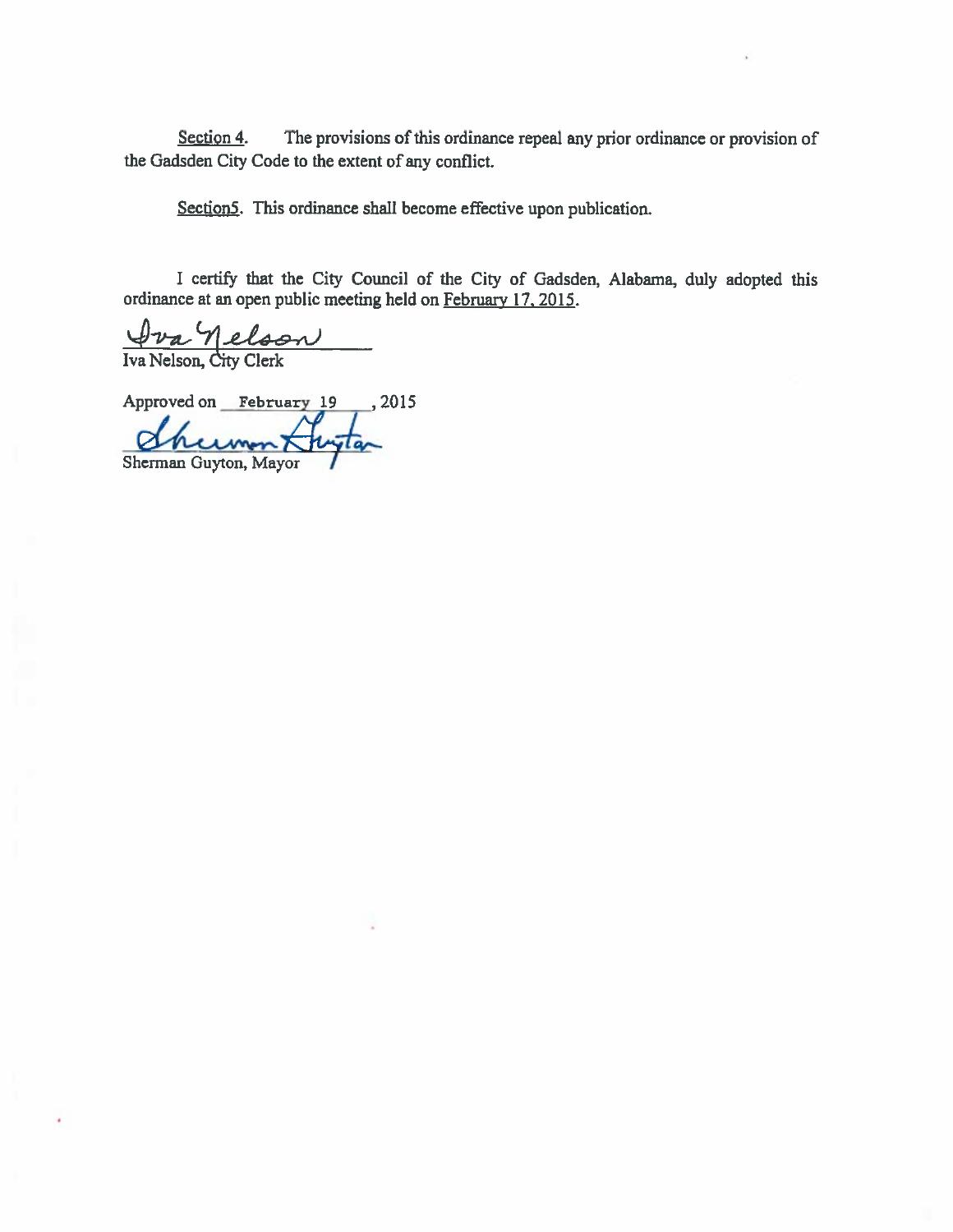The provisions of this ordinance repeal any prior ordinance or provision of Section 4. the Gadsden City Code to the extent of any conflict.

Section5. This ordinance shall become effective upon publication.

I certify that the City Council of the City of Gadsden, Alabama, duly adopted this ordinance at an open public meeting held on February 17, 2015.

<u>Dra Nelson</u>  $\overline{\phantom{a}}$ 

Approved on February 19 , 2015

Sherman Guyton, Mayor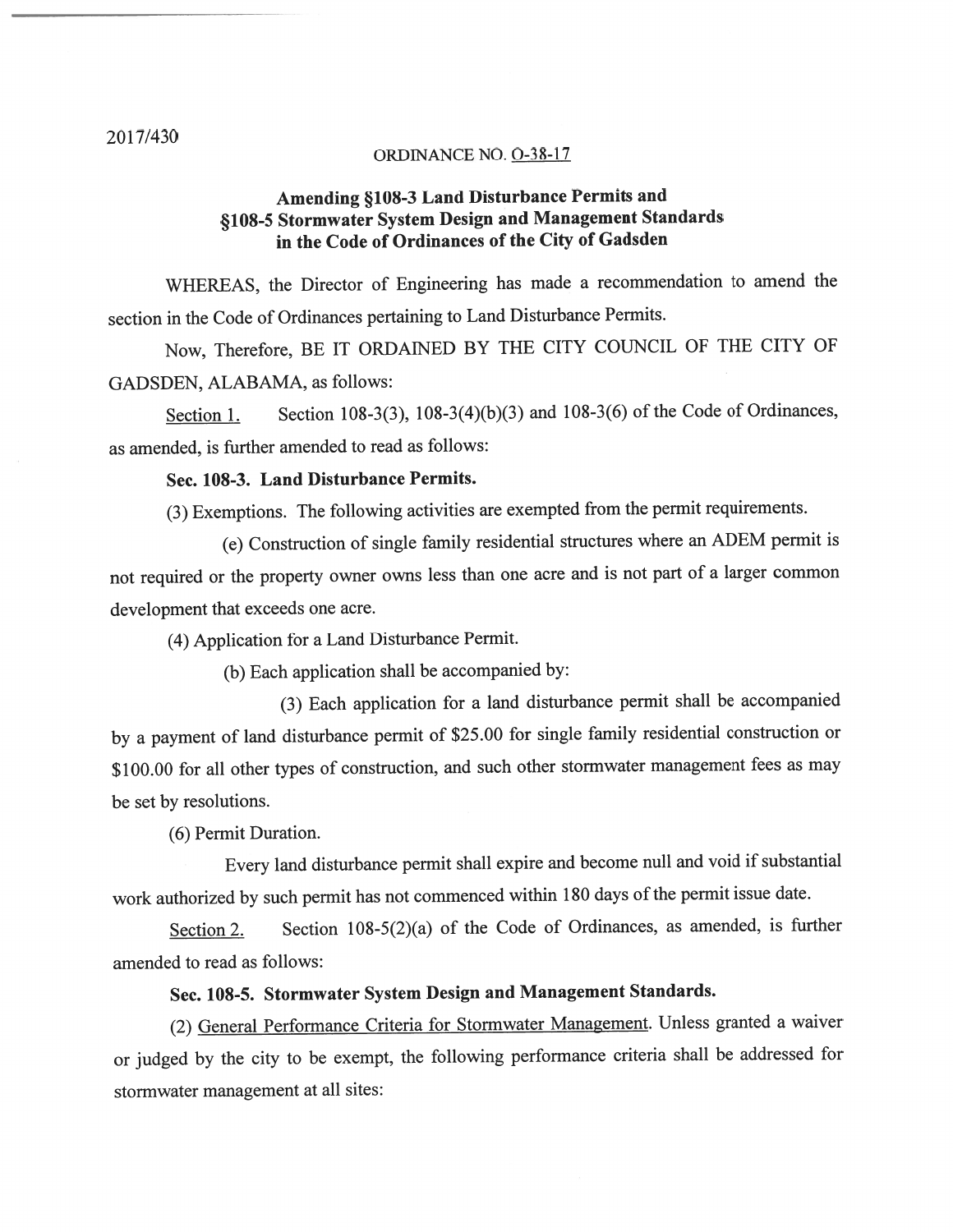#### ORDINANCE NO. O-38-17

# Amending §108-3 Land Disturbance Permits and §108-5 Stormwater System Design and Management Standards in the Code of Ordinances of the City of Gadsden

WHEREAS, the Director of Engineering has made a recommendation to amend the section in the Code of Ordinances pertaining to Land Disturbance Permits.

Now, Therefore, BE IT ORDAINED BY THE CITY COUNCIL OF THE CITY OF GADSDEN, ALABAMA, as follows:

Section 108-3(3), 108-3(4)(b)(3) and 108-3(6) of the Code of Ordinances, Section 1. as amended, is further amended to read as follows:

## Sec. 108-3. Land Disturbance Permits.

(3) Exemptions. The following activities are exempted from the permit requirements.

(e) Construction of single family residential structures where an ADEM permit is not required or the property owner owns less than one acre and is not part of a larger common development that exceeds one acre.

(4) Application for a Land Disturbance Permit.

(b) Each application shall be accompanied by:

(3) Each application for a land disturbance permit shall be accompanied by a payment of land disturbance permit of \$25.00 for single family residential construction or \$100.00 for all other types of construction, and such other stormwater management fees as may be set by resolutions.

(6) Permit Duration.

Every land disturbance permit shall expire and become null and void if substantial work authorized by such permit has not commenced within 180 days of the permit issue date.

Section 108-5(2)(a) of the Code of Ordinances, as amended, is further Section 2. amended to read as follows:

# Sec. 108-5. Stormwater System Design and Management Standards.

(2) General Performance Criteria for Stormwater Management. Unless granted a waiver or judged by the city to be exempt, the following performance criteria shall be addressed for stormwater management at all sites: